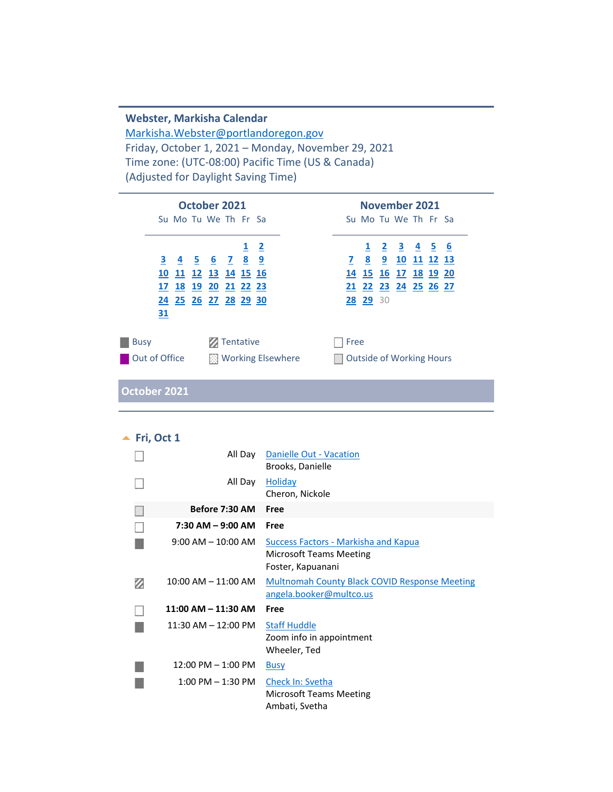#### **Webster, Markisha Calendar** [Markisha.Webster@portlandoregon.gov](mailto:Markisha.Webster@portlandoregon.gov) Friday, October 1, 2021 – Monday, November 29, 2021 Time zone: (UTC-08:00) Pacific Time (US & Canada) (Adjusted for Daylight Saving Time)

| October 2021                                                                                                     | <b>November 2021</b>                                                                                   |
|------------------------------------------------------------------------------------------------------------------|--------------------------------------------------------------------------------------------------------|
| Su Mo Tu We Th Fr Sa                                                                                             | Su Mo Tu We The Fresta                                                                                 |
| $1\quad 2$<br><u>3 4 5 6 7 8 9</u><br>10 11 12 13 14 15 16<br>17 18 19 20 21 22 23<br>24 25 26 27 28 29 30<br>31 | 1 2 3 4 5 6<br><u>7 8 9</u><br>10 11 12 13<br>14 15 16 17 18 19 20<br>21 22 23 24 25 26 27<br>28 29 30 |
| Tentative<br><b>Busy</b><br>Out of Office<br>图 Working Elsewhere                                                 | Free<br><b>Outside of Working Hours</b>                                                                |

**October 2021**

<span id="page-0-0"></span>

|   | Fri, Oct 1              |                                                                                      |
|---|-------------------------|--------------------------------------------------------------------------------------|
|   | All Day                 | Danielle Out - Vacation<br>Brooks, Danielle                                          |
|   | All Day                 | <b>Holiday</b><br>Cheron, Nickole                                                    |
|   | Before 7:30 AM          | Free                                                                                 |
|   | $7:30$ AM $-9:00$ AM    | Free                                                                                 |
|   | $9:00$ AM $-$ 10:00 AM  | Success Factors - Markisha and Kapua<br>Microsoft Teams Meeting<br>Foster, Kapuanani |
| Ø | $10:00$ AM $- 11:00$ AM | <b>Multnomah County Black COVID Response Meeting</b><br>angela.booker@multco.us      |
|   | 11:00 AM - 11:30 AM     | Free                                                                                 |
|   | 11:30 AM - 12:00 PM     | <b>Staff Huddle</b><br>Zoom info in appointment<br>Wheeler, Ted                      |
|   | $12:00$ PM $- 1:00$ PM  | <b>Busy</b>                                                                          |
|   | $1:00$ PM $- 1:30$ PM   | Check In: Svetha<br>Microsoft Teams Meeting<br>Ambati, Svetha                        |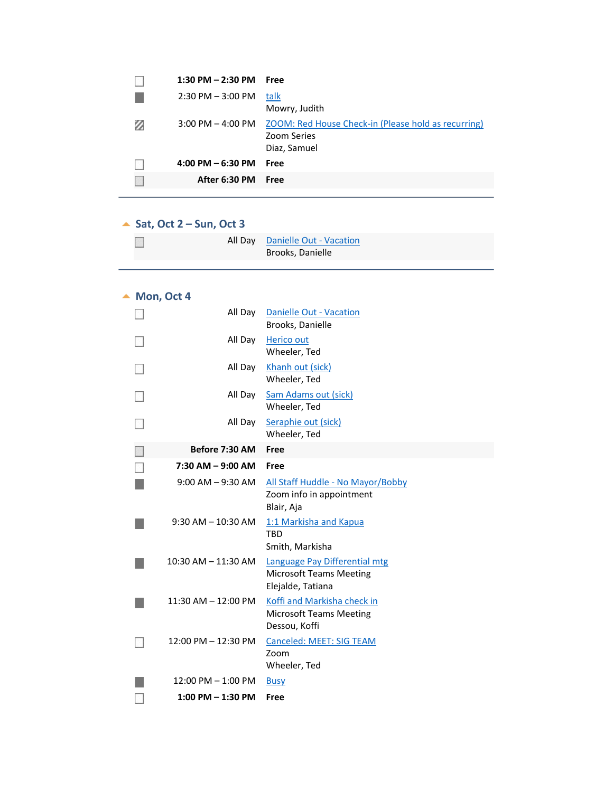|   | $1:30$ PM $- 2:30$ PM | Free                                                |
|---|-----------------------|-----------------------------------------------------|
|   | $2:30$ PM $-3:00$ PM  | talk                                                |
|   |                       | Mowry, Judith                                       |
| Ø | $3:00$ PM $-$ 4:00 PM | ZOOM: Red House Check-in (Please hold as recurring) |
|   |                       | <b>Zoom Series</b>                                  |
|   |                       | Diaz, Samuel                                        |
|   | $4:00$ PM $-6:30$ PM  | Free                                                |
|   | After 6:30 PM         | Free                                                |
|   |                       |                                                     |

## **Sat, Oct 2 – Sun, Oct 3**

<span id="page-1-1"></span><span id="page-1-0"></span>

|  | All Day Danielle Out - Vacation |
|--|---------------------------------|
|  | Brooks, Danielle                |

#### $\blacktriangle$  Mon, Oct 4

<span id="page-1-2"></span>

| All Day                 | <b>Danielle Out - Vacation</b><br>Brooks, Danielle                                   |
|-------------------------|--------------------------------------------------------------------------------------|
| All Day                 | Herico out<br>Wheeler, Ted                                                           |
| All Day                 | Khanh out (sick)<br>Wheeler, Ted                                                     |
| All Day                 | <b>Sam Adams out (sick)</b><br>Wheeler, Ted                                          |
| All Day                 | Seraphie out (sick)<br>Wheeler, Ted                                                  |
| Before 7:30 AM          | Free                                                                                 |
| $7:30$ AM $-$ 9:00 AM   | Free                                                                                 |
| $9:00$ AM $-9:30$ AM    | All Staff Huddle - No Mayor/Bobby<br>Zoom info in appointment<br>Blair, Aja          |
| $9:30$ AM $- 10:30$ AM  | 1:1 Markisha and Kapua<br><b>TBD</b><br>Smith, Markisha                              |
| $10:30$ AM $- 11:30$ AM | Language Pay Differential mtg<br><b>Microsoft Teams Meeting</b><br>Elejalde, Tatiana |
| $11:30$ AM $-12:00$ PM  | Koffi and Markisha check in                                                          |
|                         | <b>Microsoft Teams Meeting</b><br>Dessou, Koffi                                      |
| 12:00 PM - 12:30 PM     | <b>Canceled: MEET: SIG TEAM</b><br>Zoom<br>Wheeler, Ted                              |
| $12:00$ PM $- 1:00$ PM  | <b>Busy</b>                                                                          |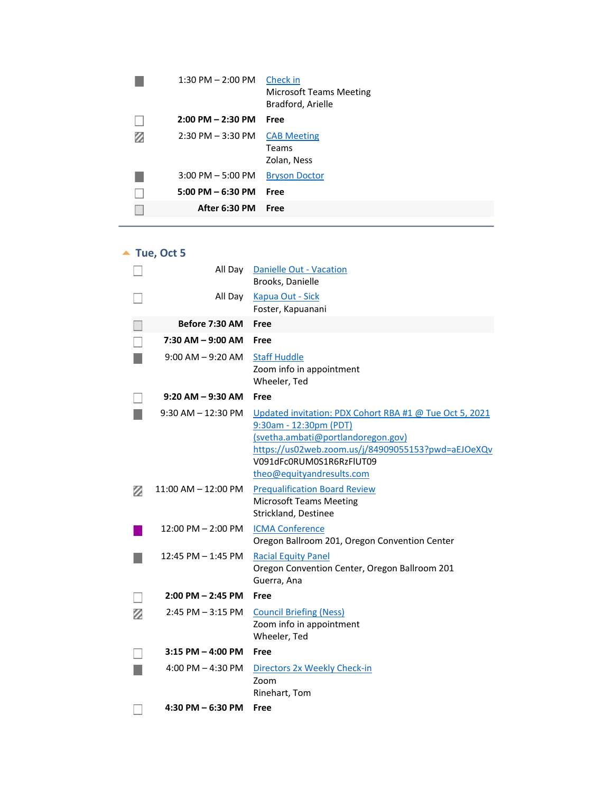|   | $1:30$ PM $- 2:00$ PM               | Check in<br><b>Microsoft Teams Meeting</b><br>Bradford, Arielle |
|---|-------------------------------------|-----------------------------------------------------------------|
|   | $2:00$ PM $- 2:30$ PM               | Free                                                            |
| Ø | $2:30$ PM $-3:30$ PM                | <b>CAB Meeting</b><br>Teams<br>Zolan, Ness                      |
|   | $3:00$ PM $-5:00$ PM                | <b>Bryson Doctor</b>                                            |
|   | $5:00 \text{ PM} - 6:30 \text{ PM}$ | Free                                                            |
|   | After 6:30 PM                       | Free                                                            |

▲ Tue, Oct 5

<span id="page-2-0"></span>

|   | All Day                | Danielle Out - Vacation<br>Brooks, Danielle                                                                                                                                                                                            |
|---|------------------------|----------------------------------------------------------------------------------------------------------------------------------------------------------------------------------------------------------------------------------------|
|   | All Day                | Kapua Out - Sick<br>Foster, Kapuanani                                                                                                                                                                                                  |
|   | Before 7:30 AM         | Free                                                                                                                                                                                                                                   |
|   | 7:30 AM - 9:00 AM      | Free                                                                                                                                                                                                                                   |
|   | $9:00$ AM $-9:20$ AM   | <b>Staff Huddle</b><br>Zoom info in appointment<br>Wheeler, Ted                                                                                                                                                                        |
|   | $9:20$ AM $-9:30$ AM   | Free                                                                                                                                                                                                                                   |
|   | $9:30$ AM $-12:30$ PM  | Updated invitation: PDX Cohort RBA #1 @ Tue Oct 5, 2021<br>9:30am - 12:30pm (PDT)<br>(svetha.ambati@portlandoregon.gov)<br>https://us02web.zoom.us/j/84909055153?pwd=aEJOeXQv<br>V091dFc0RUM0S1R6RzFlUT09<br>theo@equityandresults.com |
| Ø | $11:00$ AM $-12:00$ PM | <b>Prequalification Board Review</b><br><b>Microsoft Teams Meeting</b><br>Strickland, Destinee                                                                                                                                         |
|   | 12:00 PM - 2:00 PM     | <b>ICMA Conference</b><br>Oregon Ballroom 201, Oregon Convention Center                                                                                                                                                                |
|   | 12:45 PM - 1:45 PM     | <b>Racial Equity Panel</b><br>Oregon Convention Center, Oregon Ballroom 201<br>Guerra, Ana                                                                                                                                             |
|   | $2:00$ PM $- 2:45$ PM  | Free                                                                                                                                                                                                                                   |
| Ø | $2:45$ PM $-3:15$ PM   | <b>Council Briefing (Ness)</b><br>Zoom info in appointment<br>Wheeler, Ted                                                                                                                                                             |
|   | $3:15$ PM $-$ 4:00 PM  | Free                                                                                                                                                                                                                                   |
|   | 4:00 PM $-$ 4:30 PM    | Directors 2x Weekly Check-in<br>Zoom<br>Rinehart, Tom                                                                                                                                                                                  |
|   | 4:30 PM $-$ 6:30 PM    | Free                                                                                                                                                                                                                                   |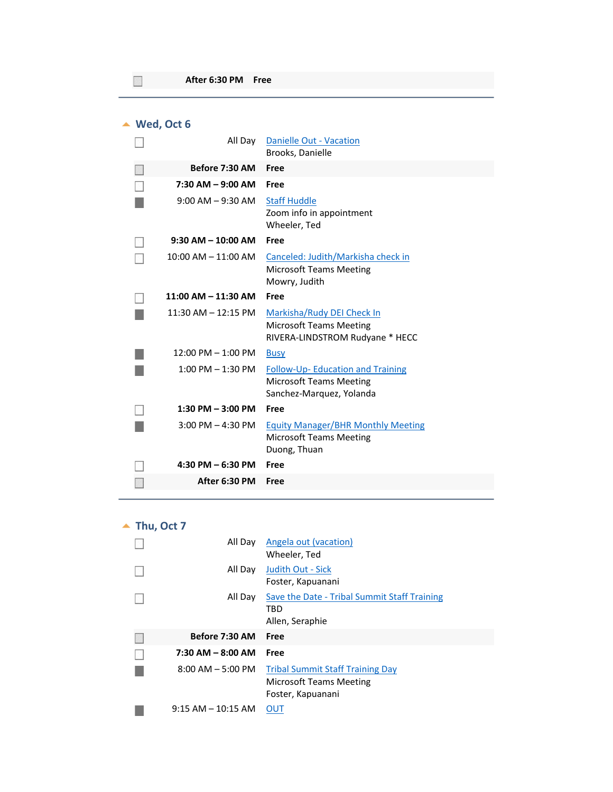$\overline{\phantom{a}}$ 

<span id="page-3-0"></span>

| Wed, Oct 6 |                         |                                                                                                       |
|------------|-------------------------|-------------------------------------------------------------------------------------------------------|
|            | All Day                 | Danielle Out - Vacation<br>Brooks, Danielle                                                           |
|            | Before 7:30 AM          | Free                                                                                                  |
|            | $7:30$ AM $-9:00$ AM    | Free                                                                                                  |
|            | $9:00$ AM $-9:30$ AM    | <b>Staff Huddle</b><br>Zoom info in appointment<br>Wheeler, Ted                                       |
|            | $9:30$ AM $- 10:00$ AM  | Free                                                                                                  |
|            | $10:00$ AM $- 11:00$ AM | Canceled: Judith/Markisha check in<br><b>Microsoft Teams Meeting</b><br>Mowry, Judith                 |
|            | $11:00$ AM $- 11:30$ AM | Free                                                                                                  |
|            | $11:30$ AM $- 12:15$ PM | Markisha/Rudy DEI Check In<br><b>Microsoft Teams Meeting</b><br>RIVERA-LINDSTROM Rudyane * HECC       |
|            | $12:00$ PM $- 1:00$ PM  | <b>Busy</b>                                                                                           |
|            | $1:00$ PM $-1:30$ PM    | <b>Follow-Up-Education and Training</b><br><b>Microsoft Teams Meeting</b><br>Sanchez-Marquez, Yolanda |
|            | 1:30 PM $-$ 3:00 PM     | Free                                                                                                  |
|            | $3:00$ PM $- 4:30$ PM   | <b>Equity Manager/BHR Monthly Meeting</b><br><b>Microsoft Teams Meeting</b><br>Duong, Thuan           |
|            | $4:30$ PM $-6:30$ PM    | Free                                                                                                  |
|            | After 6:30 PM           | Free                                                                                                  |
|            |                         |                                                                                                       |

▲ Thu, Oct 7  $\left( \frac{1}{2} \right)$ All Day **Angela out (vacation)** 

<span id="page-3-1"></span>

|                       | Wheeler, Ted                                 |
|-----------------------|----------------------------------------------|
| All Day               | Judith Out - Sick                            |
|                       | Foster, Kapuanani                            |
| All Day               | Save the Date - Tribal Summit Staff Training |
|                       | TBD                                          |
|                       | Allen, Seraphie                              |
| Before 7:30 AM        | Free                                         |
|                       |                                              |
| $7:30$ AM $-$ 8:00 AM | Free                                         |
| $8:00$ AM $-5:00$ PM  | <b>Tribal Summit Staff Training Day</b>      |
|                       | Microsoft Teams Meeting                      |
|                       | Foster, Kapuanani                            |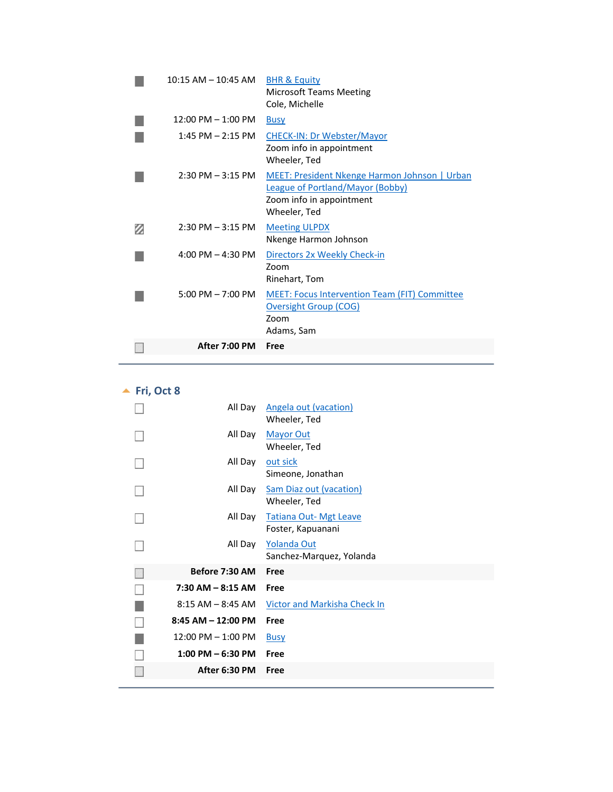| $10:15$ AM $-$ 10:45 AM             | <b>BHR &amp; Equity</b><br><b>Microsoft Teams Meeting</b><br>Cole, Michelle                                                   |
|-------------------------------------|-------------------------------------------------------------------------------------------------------------------------------|
| $12:00$ PM $- 1:00$ PM              | <b>Busy</b>                                                                                                                   |
| $1:45$ PM $- 2:15$ PM               | <b>CHECK-IN: Dr Webster/Mayor</b><br>Zoom info in appointment<br>Wheeler, Ted                                                 |
| $2:30$ PM $-3:15$ PM                | MEET: President Nkenge Harmon Johnson   Urban<br>League of Portland/Mayor (Bobby)<br>Zoom info in appointment<br>Wheeler, Ted |
| $2:30$ PM $-3:15$ PM                | <b>Meeting ULPDX</b><br>Nkenge Harmon Johnson                                                                                 |
| $4:00 \text{ PM} - 4:30 \text{ PM}$ | Directors 2x Weekly Check-in<br>Zoom<br>Rinehart, Tom                                                                         |
| $5:00 \text{ PM} - 7:00 \text{ PM}$ | <b>MEET: Focus Intervention Team (FIT) Committee</b><br><b>Oversight Group (COG)</b><br>Zoom<br>Adams, Sam                    |
| <b>After 7:00 PM</b>                | Free                                                                                                                          |

**<u>A</u>** Fri, Oct 8

<span id="page-4-0"></span>

| All Day                | Angela out (vacation)<br>Wheeler, Ted              |
|------------------------|----------------------------------------------------|
| All Day                | <b>Mayor Out</b><br>Wheeler, Ted                   |
| All Day                | out sick<br>Simeone, Jonathan                      |
| All Day                | <b>Sam Diaz out (vacation)</b><br>Wheeler, Ted     |
| All Day                | <b>Tatiana Out- Mgt Leave</b><br>Foster, Kapuanani |
| All Day                | Yolanda Out<br>Sanchez-Marquez, Yolanda            |
| Before 7:30 AM         | Free                                               |
| $7:30$ AM $-$ 8:15 AM  | Free                                               |
|                        |                                                    |
| $8:15$ AM $-$ 8:45 AM  | Victor and Markisha Check In                       |
| $8:45$ AM $- 12:00$ PM | Free                                               |
| $12:00$ PM $- 1:00$ PM | <b>Busy</b>                                        |
| $1:00$ PM $-6:30$ PM   | Free                                               |
| After 6:30 PM          | Free                                               |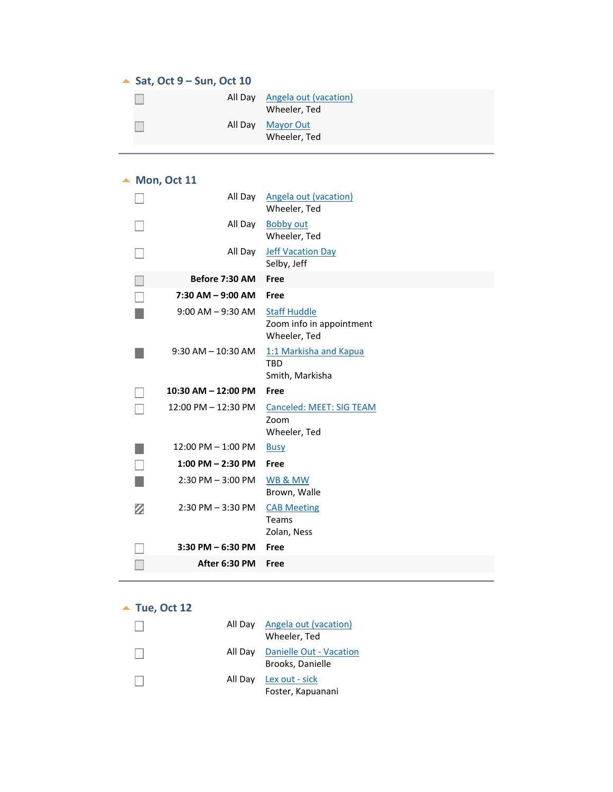#### ▲ Sat, Oct 9 – Sun, Oct 10

<span id="page-5-1"></span><span id="page-5-0"></span>

|         | All Day Angela out (vacation)<br>Wheeler, Ted |
|---------|-----------------------------------------------|
| All Day | Mayor Out<br>Wheeler, Ted                     |

#### ▲ Mon, Oct 11

<span id="page-5-2"></span>

|   | All Day                 | <b>Angela out (vacation)</b><br>Wheeler, Ted                    |
|---|-------------------------|-----------------------------------------------------------------|
|   | All Day                 | <b>Bobby out</b><br>Wheeler, Ted                                |
|   | All Day                 | <b>Jeff Vacation Day</b><br>Selby, Jeff                         |
|   | Before 7:30 AM          | Free                                                            |
|   | $7:30$ AM $-$ 9:00 AM   | Free                                                            |
|   | $9:00$ AM $-9:30$ AM    | <b>Staff Huddle</b><br>Zoom info in appointment<br>Wheeler, Ted |
|   | $9:30$ AM $- 10:30$ AM  | 1:1 Markisha and Kapua<br><b>TBD</b><br>Smith, Markisha         |
|   |                         |                                                                 |
|   | $10:30$ AM $- 12:00$ PM | Free                                                            |
|   | $12:00$ PM $- 12:30$ PM | Canceled: MEET: SIG TEAM<br>Zoom<br>Wheeler, Ted                |
|   | $12:00$ PM $- 1:00$ PM  | <b>Busy</b>                                                     |
|   | $1:00$ PM $- 2:30$ PM   | Free                                                            |
|   | $2:30$ PM $-3:00$ PM    | WB & MW<br>Brown, Walle                                         |
| Ø | $2:30$ PM $-3:30$ PM    | <b>CAB Meeting</b><br>Teams<br>Zolan, Ness                      |
|   | $3:30$ PM $-6:30$ PM    | Free                                                            |
|   | After 6:30 PM           | Free                                                            |

#### ▲ Tue, Oct 12

<span id="page-5-3"></span>

|  | All Day Angela out (vacation)<br>Wheeler, Ted       |
|--|-----------------------------------------------------|
|  | All Day Danielle Out - Vacation<br>Brooks, Danielle |
|  | All Day Lex out - sick<br>Foster, Kapuanani         |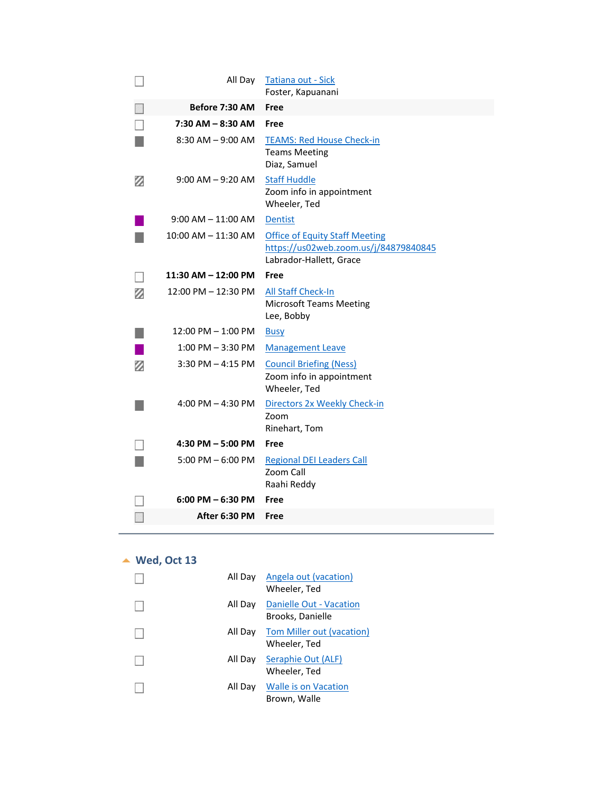|   | All Day                | <b>Tatiana out - Sick</b><br>Foster, Kapuanani                                                            |
|---|------------------------|-----------------------------------------------------------------------------------------------------------|
|   | Before 7:30 AM         | Free                                                                                                      |
|   | 7:30 AM - 8:30 AM      | Free                                                                                                      |
|   | $8:30$ AM $-9:00$ AM   | <b>TEAMS: Red House Check-in</b><br><b>Teams Meeting</b><br>Diaz, Samuel                                  |
| Ø | $9:00$ AM $-9:20$ AM   | <b>Staff Huddle</b><br>Zoom info in appointment<br>Wheeler, Ted                                           |
|   | $9:00$ AM $-$ 11:00 AM | <b>Dentist</b>                                                                                            |
|   | 10:00 AM – 11:30 AM    | <b>Office of Equity Staff Meeting</b><br>https://us02web.zoom.us/j/84879840845<br>Labrador-Hallett, Grace |
|   | 11:30 AM - 12:00 PM    | Free                                                                                                      |
| Ø | 12:00 PM - 12:30 PM    | <b>All Staff Check-In</b><br><b>Microsoft Teams Meeting</b><br>Lee, Bobby                                 |
|   | $12:00$ PM $- 1:00$ PM | <b>Busy</b>                                                                                               |
|   | $1:00$ PM $-3:30$ PM   | <b>Management Leave</b>                                                                                   |
| Ø | $3:30$ PM $-$ 4:15 PM  | <b>Council Briefing (Ness)</b><br>Zoom info in appointment<br>Wheeler, Ted                                |
|   | 4:00 PM $-$ 4:30 PM    | Directors 2x Weekly Check-in<br>Zoom<br>Rinehart, Tom                                                     |
|   | 4:30 PM - 5:00 PM      | Free                                                                                                      |
|   | $5:00$ PM $-6:00$ PM   | <b>Regional DEI Leaders Call</b><br>Zoom Call<br>Raahi Reddy                                              |
|   | $6:00$ PM $-6:30$ PM   | Free                                                                                                      |
|   | After 6:30 PM          | Free                                                                                                      |

## ▲ Wed, Oct 13

<span id="page-6-0"></span>

| All Day | Angela out (vacation)<br>Wheeler, Ted             |
|---------|---------------------------------------------------|
| All Day | Danielle Out - Vacation<br>Brooks, Danielle       |
|         | All Day Tom Miller out (vacation)<br>Wheeler, Ted |
| All Day | Seraphie Out (ALF)<br>Wheeler, Ted                |
| All Dav | Walle is on Vacation<br>Brown, Walle              |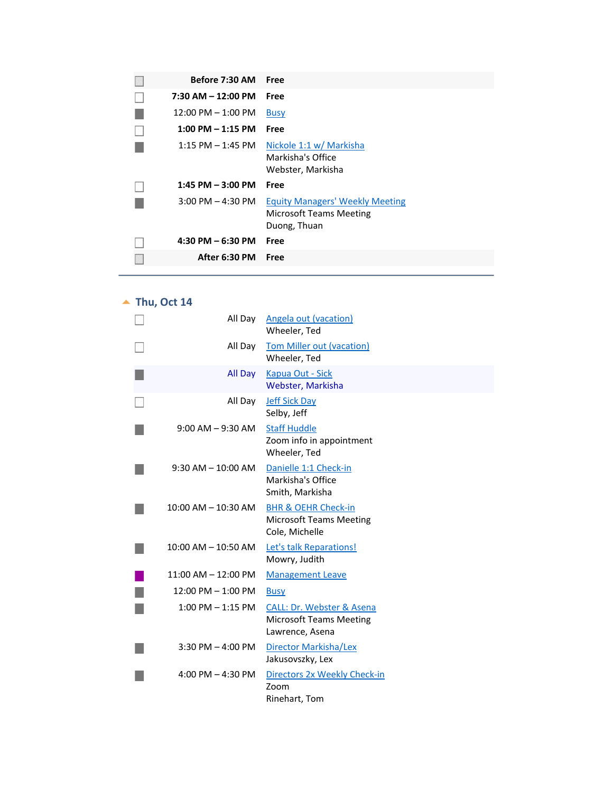| Before 7:30 AM         | Free                                                                                     |
|------------------------|------------------------------------------------------------------------------------------|
| $7:30$ AM $-$ 12:00 PM | Free                                                                                     |
| $12:00$ PM $- 1:00$ PM | <b>Busy</b>                                                                              |
| $1:00$ PM $-1:15$ PM   | Free                                                                                     |
| $1:15$ PM $-1:45$ PM   | Nickole 1:1 w/ Markisha<br>Markisha's Office<br>Webster, Markisha                        |
| $1:45$ PM $-3:00$ PM   | Free                                                                                     |
| $3:00$ PM $-$ 4:30 PM  | <b>Equity Managers' Weekly Meeting</b><br><b>Microsoft Teams Meeting</b><br>Duong, Thuan |
| 4:30 PM $-6:30$ PM     | Free                                                                                     |
| After 6:30 PM          | Free                                                                                     |

## ▲ Thu, Oct 14

<span id="page-7-0"></span>

| All Day                 | Angela out (vacation)<br>Wheeler, Ted                                                     |
|-------------------------|-------------------------------------------------------------------------------------------|
| All Day                 | Tom Miller out (vacation)<br>Wheeler, Ted                                                 |
| All Day                 | Kapua Out - Sick<br>Webster, Markisha                                                     |
| All Day                 | <b>Jeff Sick Day</b><br>Selby, Jeff                                                       |
| $9:00$ AM $-9:30$ AM    | <b>Staff Huddle</b><br>Zoom info in appointment<br>Wheeler, Ted                           |
| $9:30$ AM $-10:00$ AM   | Danielle 1:1 Check-in<br>Markisha's Office<br>Smith, Markisha                             |
| 10:00 AM - 10:30 AM     | <b>BHR &amp; OEHR Check-in</b><br><b>Microsoft Teams Meeting</b><br>Cole, Michelle        |
| $10:00$ AM $- 10:50$ AM | Let's talk Reparations!<br>Mowry, Judith                                                  |
| $11:00$ AM $-12:00$ PM  | <b>Management Leave</b>                                                                   |
| $12:00$ PM $- 1:00$ PM  | <b>Busy</b>                                                                               |
| $1:00$ PM $-1:15$ PM    | <b>CALL: Dr. Webster &amp; Asena</b><br><b>Microsoft Teams Meeting</b><br>Lawrence, Asena |
| $3:30$ PM $-$ 4:00 PM   | Director Markisha/Lex<br>Jakusovszky, Lex                                                 |
| 4:00 PM $-$ 4:30 PM     | Directors 2x Weekly Check-in<br>Zoom<br>Rinehart, Tom                                     |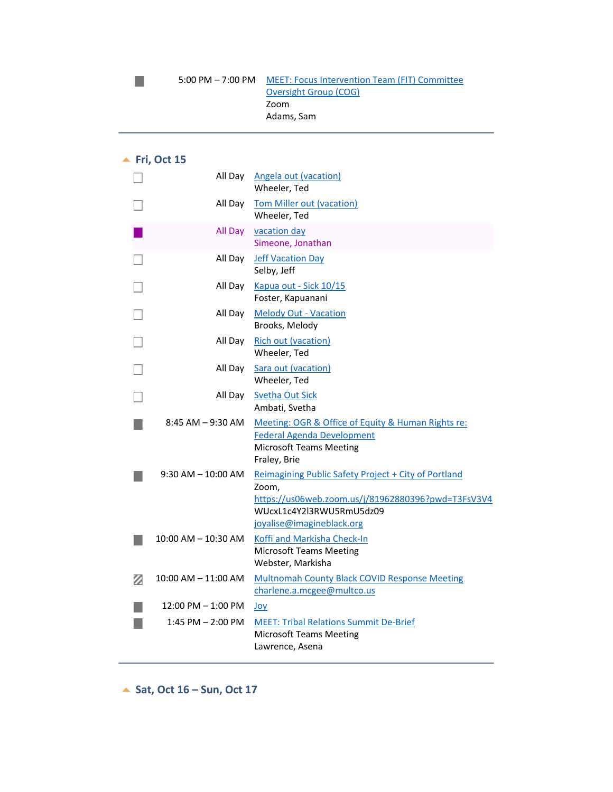#### ▲ Fri, Oct 15

 $\mathcal{L}_{\mathcal{A}}$ 

<span id="page-8-0"></span>

|   |                        | All Day Angela out (vacation)<br>Wheeler, Ted                                                                                                                                |
|---|------------------------|------------------------------------------------------------------------------------------------------------------------------------------------------------------------------|
|   | All Day                | <b>Tom Miller out (vacation)</b><br>Wheeler, Ted                                                                                                                             |
|   | All Day                | vacation day<br>Simeone, Jonathan                                                                                                                                            |
|   | All Day                | <b>Jeff Vacation Day</b><br>Selby, Jeff                                                                                                                                      |
|   | All Day                | Kapua out - Sick 10/15<br>Foster, Kapuanani                                                                                                                                  |
|   | All Day                | <b>Melody Out - Vacation</b><br>Brooks, Melody                                                                                                                               |
|   | All Day                | <b>Rich out (vacation)</b><br>Wheeler, Ted                                                                                                                                   |
|   | All Day                | Sara out (vacation)<br>Wheeler, Ted                                                                                                                                          |
|   | All Day                | <b>Svetha Out Sick</b><br>Ambati, Svetha                                                                                                                                     |
|   | $8:45$ AM $-9:30$ AM   | Meeting: OGR & Office of Equity & Human Rights re:<br><b>Federal Agenda Development</b><br><b>Microsoft Teams Meeting</b><br>Fraley, Brie                                    |
|   | $9:30$ AM $-$ 10:00 AM | Reimagining Public Safety Project + City of Portland<br>Zoom,<br>https://us06web.zoom.us/j/81962880396?pwd=T3FsV3V4<br>WUcxL1c4Y2l3RWU5RmU5dz09<br>joyalise@imagineblack.org |
|   | 10:00 AM - 10:30 AM    | Koffi and Markisha Check-In<br><b>Microsoft Teams Meeting</b><br>Webster, Markisha                                                                                           |
| Ø | 10:00 AM - 11:00 AM    | <b>Multnomah County Black COVID Response Meeting</b><br>charlene.a.mcgee@multco.us                                                                                           |
|   | $12:00$ PM $-1:00$ PM  | Joy                                                                                                                                                                          |
|   | $1:45$ PM $- 2:00$ PM  | <b>MEET: Tribal Relations Summit De-Brief</b><br><b>Microsoft Teams Meeting</b><br>Lawrence, Asena                                                                           |

<span id="page-8-2"></span><span id="page-8-1"></span>**Sat, Oct 16 – Sun, Oct 17**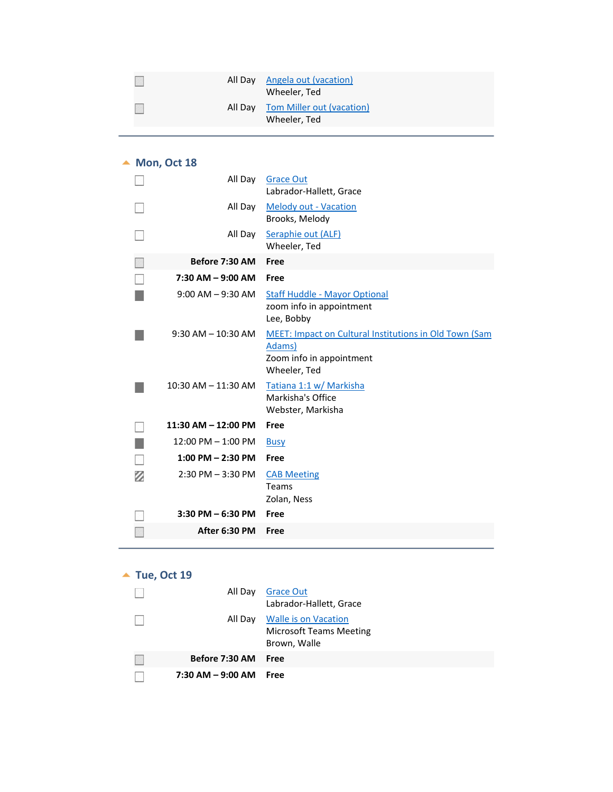|  | All Day Angela out (vacation)<br>Wheeler, Ted     |
|--|---------------------------------------------------|
|  | All Day Tom Miller out (vacation)<br>Wheeler, Ted |

## ▲ Mon, Oct 18

<span id="page-9-0"></span>

|   | All Day                 | <b>Grace Out</b><br>Labrador-Hallett, Grace                                                                         |
|---|-------------------------|---------------------------------------------------------------------------------------------------------------------|
|   | All Day                 | <b>Melody out - Vacation</b><br>Brooks, Melody                                                                      |
|   | All Day                 | Seraphie out (ALF)<br>Wheeler, Ted                                                                                  |
|   | Before 7:30 AM          | Free                                                                                                                |
|   | 7:30 AM - 9:00 AM       | Free                                                                                                                |
|   | $9:00$ AM $-9:30$ AM    | <b>Staff Huddle - Mayor Optional</b><br>zoom info in appointment<br>Lee, Bobby                                      |
|   | $9:30$ AM $- 10:30$ AM  | <b>MEET: Impact on Cultural Institutions in Old Town (Sam</b><br>Adams)<br>Zoom info in appointment<br>Wheeler, Ted |
|   | $10:30$ AM $- 11:30$ AM | Tatiana 1:1 w/ Markisha<br>Markisha's Office<br>Webster, Markisha                                                   |
|   | 11:30 AM - 12:00 PM     | Free                                                                                                                |
|   | 12:00 PM - 1:00 PM      | <b>Busy</b>                                                                                                         |
|   | $1:00$ PM $- 2:30$ PM   | Free                                                                                                                |
| Ø | $2:30$ PM $-3:30$ PM    | <b>CAB Meeting</b><br>Teams<br>Zolan, Ness                                                                          |
|   | $3:30$ PM $- 6:30$ PM   | Free                                                                                                                |
|   | After 6:30 PM           | Free                                                                                                                |

## ▲ Tue, Oct 19

<span id="page-9-1"></span>

| All Day                   | <b>Grace Out</b><br>Labrador-Hallett, Grace                                    |
|---------------------------|--------------------------------------------------------------------------------|
|                           | All Day Walle is on Vacation<br><b>Microsoft Teams Meeting</b><br>Brown, Walle |
| Before 7:30 AM Free       |                                                                                |
| $7:30$ AM $-9:00$ AM Free |                                                                                |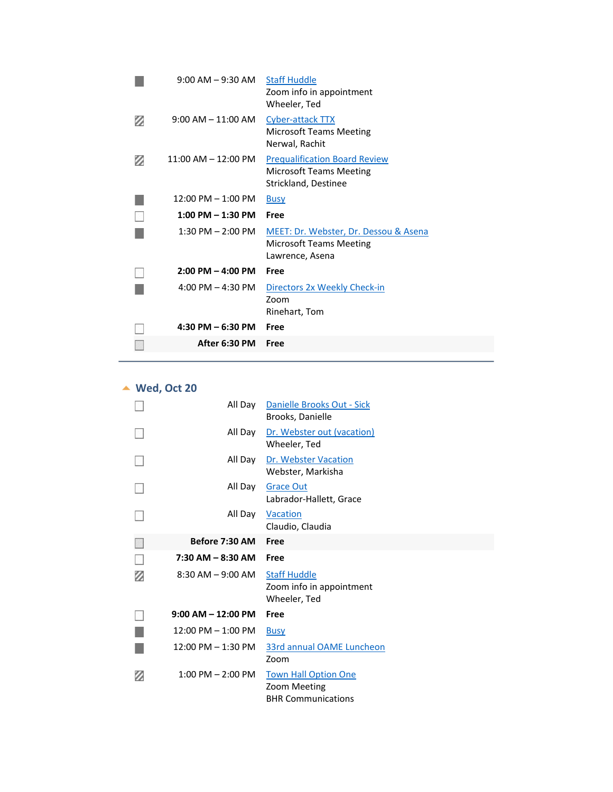|   | $9:00$ AM $-9:30$ AM                | <b>Staff Huddle</b><br>Zoom info in appointment<br>Wheeler, Ted                         |
|---|-------------------------------------|-----------------------------------------------------------------------------------------|
|   | $9:00$ AM $-$ 11:00 AM              | Cyber-attack TTX<br>Microsoft Teams Meeting<br>Nerwal, Rachit                           |
| Ø | $11:00$ AM $- 12:00$ PM             | <b>Prequalification Board Review</b><br>Microsoft Teams Meeting<br>Strickland, Destinee |
|   | $12:00$ PM $- 1:00$ PM              | <b>Busy</b>                                                                             |
|   | $1:00$ PM $-1:30$ PM                | Free                                                                                    |
|   | $1:30$ PM $- 2:00$ PM               | MEET: Dr. Webster, Dr. Dessou & Asena<br>Microsoft Teams Meeting<br>Lawrence, Asena     |
|   | $2:00 \text{ PM} - 4:00 \text{ PM}$ | Free                                                                                    |
|   | 4:00 PM $-$ 4:30 PM                 | Directors 2x Weekly Check-in<br>Zoom<br>Rinehart, Tom                                   |
|   | $4:30$ PM $-6:30$ PM                | Free                                                                                    |
|   | After 6:30 PM                       | Free                                                                                    |
|   |                                     |                                                                                         |

# **Wed, Oct 20**

<span id="page-10-0"></span>

| All Dav                | Danielle Brooks Out - Sick<br>Brooks, Danielle                  |
|------------------------|-----------------------------------------------------------------|
| All Day                | Dr. Webster out (vacation)<br>Wheeler, Ted                      |
| All Day                | Dr. Webster Vacation<br>Webster, Markisha                       |
| All Day                | <b>Grace Out</b><br>Labrador-Hallett, Grace                     |
| All Day                | Vacation<br>Claudio, Claudia                                    |
| Before 7:30 AM         | Free                                                            |
|                        |                                                                 |
| 7:30 AM - 8:30 AM      | Free                                                            |
| $8:30$ AM $-9:00$ AM   | <b>Staff Huddle</b><br>Zoom info in appointment<br>Wheeler, Ted |
| $9:00$ AM $- 12:00$ PM | Free                                                            |
| $12:00$ PM $- 1:00$ PM | <b>Busy</b>                                                     |
| $12:00$ PM $- 1:30$ PM | 33rd annual OAME Luncheon<br>Zoom                               |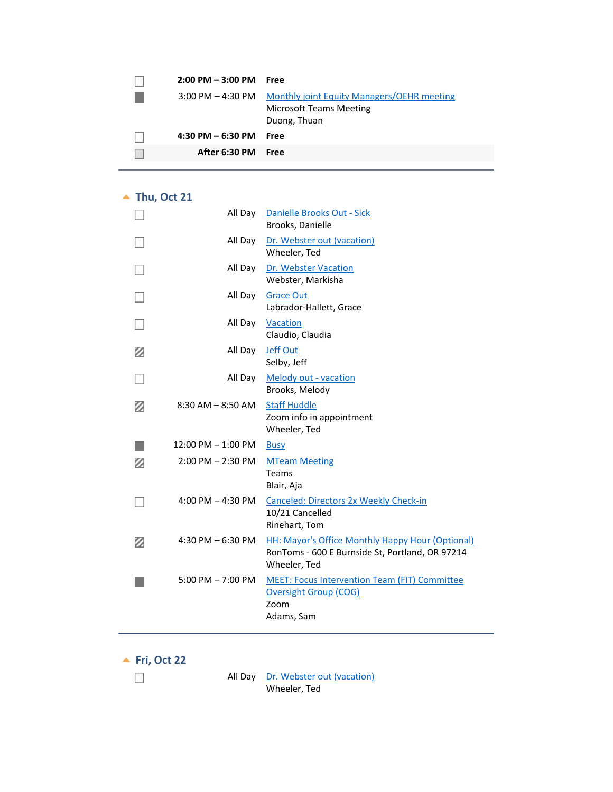| $2:00 \text{ PM} - 3:00 \text{ PM}$ Free |                                                                                                |
|------------------------------------------|------------------------------------------------------------------------------------------------|
|                                          | 3:00 PM - 4:30 PM Monthly joint Equity Managers/OEHR meeting<br><b>Microsoft Teams Meeting</b> |
|                                          | Duong, Thuan                                                                                   |
| $4:30$ PM $-6:30$ PM                     | <b>Free</b>                                                                                    |
| After 6:30 PM Free                       |                                                                                                |
|                                          |                                                                                                |

#### ▲ Thu, Oct 21

<span id="page-11-0"></span>

|   | All Day                | Danielle Brooks Out - Sick<br>Brooks, Danielle                                                                      |
|---|------------------------|---------------------------------------------------------------------------------------------------------------------|
|   | All Day                | Dr. Webster out (vacation)<br>Wheeler, Ted                                                                          |
|   | All Day                | Dr. Webster Vacation<br>Webster, Markisha                                                                           |
|   | All Day                | <b>Grace Out</b><br>Labrador-Hallett, Grace                                                                         |
|   | All Day                | Vacation<br>Claudio, Claudia                                                                                        |
| Ø | All Day                | <b>Jeff Out</b><br>Selby, Jeff                                                                                      |
|   | All Day                | Melody out - vacation<br>Brooks, Melody                                                                             |
| Ø | $8:30$ AM $-8:50$ AM   | <b>Staff Huddle</b><br>Zoom info in appointment<br>Wheeler, Ted                                                     |
|   | $12:00$ PM $- 1:00$ PM | <b>Busy</b>                                                                                                         |
| Ø | $2:00$ PM $- 2:30$ PM  | <b>MTeam Meeting</b><br>Teams<br>Blair, Aja                                                                         |
|   | 4:00 PM $-$ 4:30 PM    | Canceled: Directors 2x Weekly Check-in<br>10/21 Cancelled<br>Rinehart, Tom                                          |
| Ø | 4:30 PM $-6:30$ PM     | HH: Mayor's Office Monthly Happy Hour (Optional)<br>RonToms - 600 E Burnside St, Portland, OR 97214<br>Wheeler, Ted |
|   | $5:00$ PM $- 7:00$ PM  | <b>MEET: Focus Intervention Team (FIT) Committee</b><br><b>Oversight Group (COG)</b><br>Zoom<br>Adams, Sam          |

**Fri, Oct 22**

 $\mathcal{L}_{\mathcal{L}}$ 

<span id="page-11-1"></span>All Day Dr. Webster out (vacation) Wheeler, Ted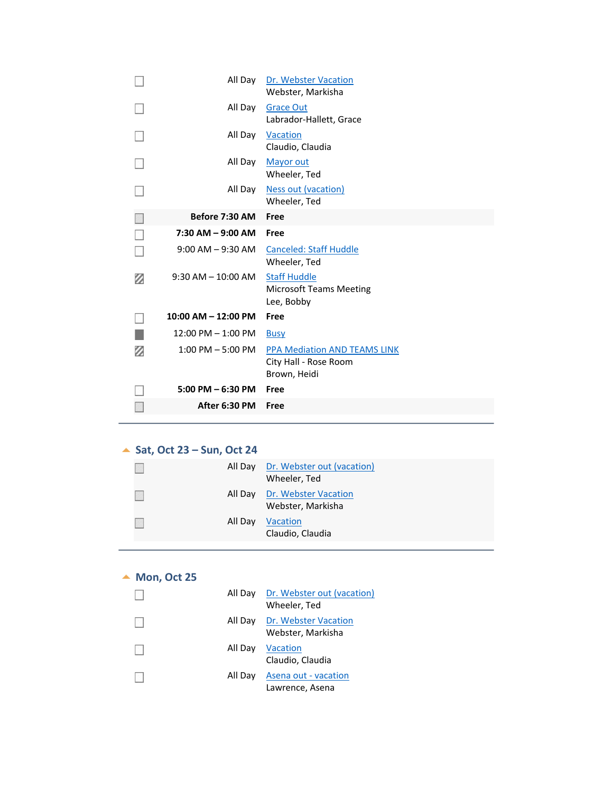|   | All Day                 | Dr. Webster Vacation<br>Webster, Markisha                                    |
|---|-------------------------|------------------------------------------------------------------------------|
|   | All Day                 | <b>Grace Out</b><br>Labrador-Hallett, Grace                                  |
|   | All Day                 | Vacation<br>Claudio, Claudia                                                 |
|   | All Day                 | <b>Mayor out</b><br>Wheeler, Ted                                             |
|   | All Day                 | <b>Ness out (vacation)</b><br>Wheeler, Ted                                   |
|   | Before 7:30 AM          | Free                                                                         |
|   | $7:30$ AM $-9:00$ AM    | Free                                                                         |
|   | $9:00$ AM $-9:30$ AM    | <b>Canceled: Staff Huddle</b><br>Wheeler, Ted                                |
| Ø | $9:30$ AM $- 10:00$ AM  | <b>Staff Huddle</b><br><b>Microsoft Teams Meeting</b><br>Lee, Bobby          |
|   | $10:00$ AM $- 12:00$ PM | Free                                                                         |
|   |                         |                                                                              |
|   | $12:00$ PM $-1:00$ PM   | <b>Busy</b>                                                                  |
| Ø | $1:00$ PM $-5:00$ PM    | <b>PPA Mediation AND TEAMS LINK</b><br>City Hall - Rose Room<br>Brown, Heidi |
|   | $5:00$ PM $-6:30$ PM    | Free                                                                         |

#### ▲ **Sat, Oct 23 – Sun, Oct 24**

<span id="page-12-1"></span><span id="page-12-0"></span>

|         | All Day Dr. Webster out (vacation)<br>Wheeler, Ted |
|---------|----------------------------------------------------|
|         | All Day Dr. Webster Vacation<br>Webster, Markisha  |
| All Day | <b>Vacation</b><br>Claudio, Claudia                |

#### ▲ Mon, Oct 25

<span id="page-12-2"></span>

|         | All Day Dr. Webster out (vacation)<br>Wheeler, Ted |
|---------|----------------------------------------------------|
|         | All Day Dr. Webster Vacation<br>Webster, Markisha  |
| All Day | Vacation<br>Claudio, Claudia                       |
| All Dav | Asena out - vacation<br>Lawrence, Asena            |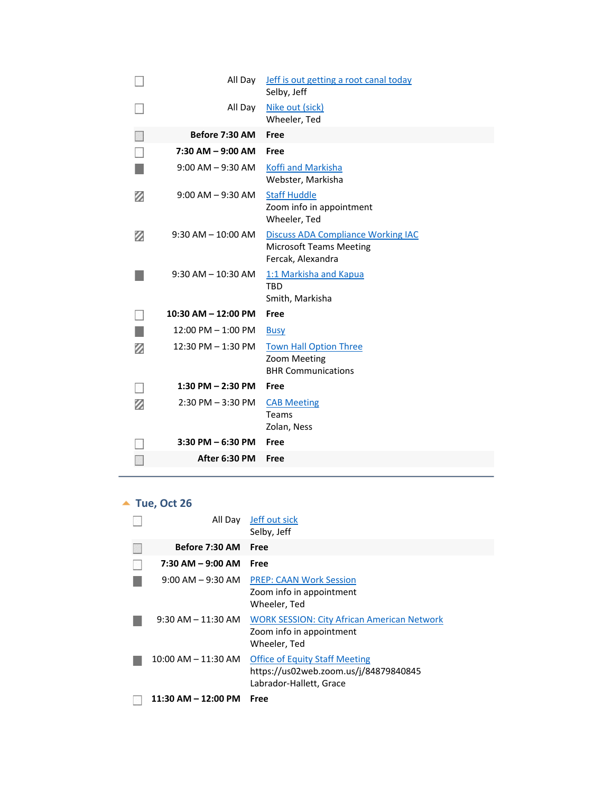|   | All Day                | Jeff is out getting a root canal today<br>Selby, Jeff                                            |
|---|------------------------|--------------------------------------------------------------------------------------------------|
|   | All Day                | Nike out (sick)<br>Wheeler, Ted                                                                  |
|   | Before 7:30 AM         | Free                                                                                             |
|   | $7:30$ AM $-9:00$ AM   | Free                                                                                             |
|   | $9:00$ AM $-9:30$ AM   | Koffi and Markisha<br>Webster, Markisha                                                          |
| Ø | $9:00$ AM $-9:30$ AM   | <b>Staff Huddle</b><br>Zoom info in appointment<br>Wheeler, Ted                                  |
| Ø | $9:30$ AM $- 10:00$ AM | <b>Discuss ADA Compliance Working IAC</b><br><b>Microsoft Teams Meeting</b><br>Fercak, Alexandra |
|   | $9:30$ AM $- 10:30$ AM | 1:1 Markisha and Kapua<br><b>TBD</b><br>Smith, Markisha                                          |
|   | 10:30 AM - 12:00 PM    | Free                                                                                             |
|   | $12:00$ PM $- 1:00$ PM | <b>Busy</b>                                                                                      |
| Ø | 12:30 PM - 1:30 PM     | <b>Town Hall Option Three</b><br>Zoom Meeting<br><b>BHR Communications</b>                       |
|   | 1:30 PM $-$ 2:30 PM    | Free                                                                                             |
| Ø | $2:30$ PM $-3:30$ PM   | <b>CAB Meeting</b><br>Teams<br>Zolan, Ness                                                       |
|   | $3:30$ PM $-6:30$ PM   | Free                                                                                             |
|   | After 6:30 PM          | Free                                                                                             |

# ▲ Tue, Oct 26

<span id="page-13-0"></span>

| All Day                 | Jeff out sick                                                                                             |
|-------------------------|-----------------------------------------------------------------------------------------------------------|
|                         | Selby, Jeff                                                                                               |
| Before 7:30 AM          | Free                                                                                                      |
| 7:30 AM - 9:00 AM       | Free                                                                                                      |
| $9:00$ AM $-9:30$ AM    | <b>PREP: CAAN Work Session</b><br>Zoom info in appointment<br>Wheeler, Ted                                |
| $9:30$ AM $-11:30$ AM   | <b>WORK SESSION: City African American Network</b><br>Zoom info in appointment<br>Wheeler, Ted            |
| $10:00$ AM $- 11:30$ AM | <b>Office of Equity Staff Meeting</b><br>https://us02web.zoom.us/j/84879840845<br>Labrador-Hallett, Grace |
| 11:30 AM - 12:00 PM     | Free                                                                                                      |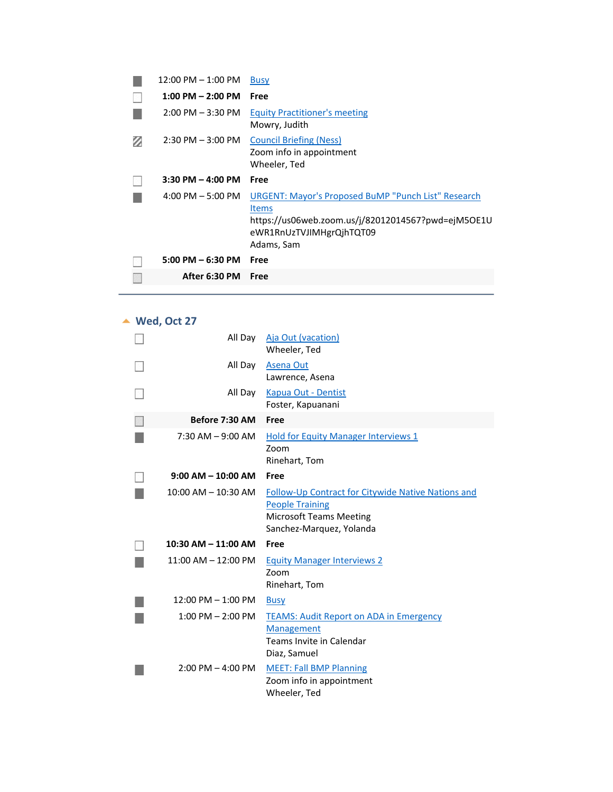| After 6:30 PM                       | Free                                                                                                         |
|-------------------------------------|--------------------------------------------------------------------------------------------------------------|
| $5:00$ PM $-6:30$ PM                | Free                                                                                                         |
|                                     | <b>Items</b><br>https://us06web.zoom.us/j/82012014567?pwd=ejM5OE1U<br>eWR1RnUzTVJIMHgrQjhTQT09<br>Adams, Sam |
| $4:00 \text{ PM} - 5:00 \text{ PM}$ | URGENT: Mayor's Proposed BuMP "Punch List" Research                                                          |
| $3:30$ PM $-$ 4:00 PM               | Free                                                                                                         |
| $2:30$ PM $-3:00$ PM                | <b>Council Briefing (Ness)</b><br>Zoom info in appointment<br>Wheeler, Ted                                   |
| $2:00$ PM $-3:30$ PM                | <b>Equity Practitioner's meeting</b><br>Mowry, Judith                                                        |
| $1:00$ PM $- 2:00$ PM               | <b>Free</b>                                                                                                  |
| $12:00$ PM $-1:00$ PM               | <b>Busy</b>                                                                                                  |

## **Wed, Oct 27**

<span id="page-14-0"></span>

| All Day                 | Aja Out (vacation)<br>Wheeler, Ted                                                                                                         |
|-------------------------|--------------------------------------------------------------------------------------------------------------------------------------------|
| All Day                 | <b>Asena Out</b><br>Lawrence, Asena                                                                                                        |
| All Day                 | Kapua Out - Dentist<br>Foster, Kapuanani                                                                                                   |
| Before 7:30 AM          | Free                                                                                                                                       |
| $7:30$ AM $-9:00$ AM    | <b>Hold for Equity Manager Interviews 1</b><br>Zoom<br>Rinehart, Tom                                                                       |
| $9:00$ AM $-$ 10:00 AM  | Free                                                                                                                                       |
| $10:00$ AM $- 10:30$ AM | Follow-Up Contract for Citywide Native Nations and<br><b>People Training</b><br><b>Microsoft Teams Meeting</b><br>Sanchez-Marquez, Yolanda |
| $10:30$ AM $- 11:00$ AM | Free                                                                                                                                       |
| $11:00$ AM $-12:00$ PM  | <b>Equity Manager Interviews 2</b><br>Zoom<br>Rinehart, Tom                                                                                |
| $12:00$ PM $- 1:00$ PM  | <b>Busy</b>                                                                                                                                |
| $1:00$ PM $- 2:00$ PM   | <b>TEAMS: Audit Report on ADA in Emergency</b><br><b>Management</b><br>Teams Invite in Calendar<br>Diaz, Samuel                            |
| $2:00$ PM $-$ 4:00 PM   | <b>MEET: Fall BMP Planning</b><br>Zoom info in appointment<br>Wheeler, Ted                                                                 |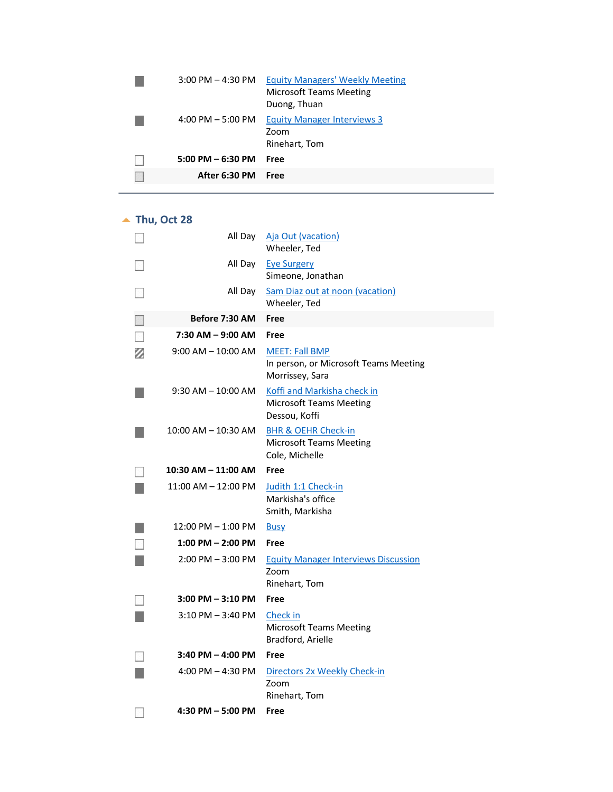| $3:00$ PM $-$ 4:30 PM | <b>Equity Managers' Weekly Meeting</b><br><b>Microsoft Teams Meeting</b><br>Duong, Thuan |
|-----------------------|------------------------------------------------------------------------------------------|
| $4:00$ PM $-5:00$ PM  | <b>Equity Manager Interviews 3</b><br>Zoom<br>Rinehart, Tom                              |
| $5:00$ PM $-6:30$ PM  | Free                                                                                     |
| After 6:30 PM         | Free                                                                                     |

▲ Thu, Oct 28

<span id="page-15-0"></span>

|   | All Day                 | Aja Out (vacation)<br>Wheeler, Ted                                                 |
|---|-------------------------|------------------------------------------------------------------------------------|
|   | All Day                 | <b>Eye Surgery</b><br>Simeone, Jonathan                                            |
|   | All Day                 | <b>Sam Diaz out at noon (vacation)</b><br>Wheeler, Ted                             |
|   | Before 7:30 AM          | Free                                                                               |
|   | $7:30$ AM $-$ 9:00 AM   | Free                                                                               |
| Ø | $9:00$ AM $-$ 10:00 AM  | <b>MEET: Fall BMP</b><br>In person, or Microsoft Teams Meeting<br>Morrissey, Sara  |
|   | $9:30$ AM $-$ 10:00 AM  | Koffi and Markisha check in<br><b>Microsoft Teams Meeting</b><br>Dessou, Koffi     |
|   | $10:00$ AM $- 10:30$ AM | <b>BHR &amp; OEHR Check-in</b><br><b>Microsoft Teams Meeting</b><br>Cole, Michelle |
|   | 10:30 AM - 11:00 AM     | Free                                                                               |
|   | 11:00 AM - 12:00 PM     | Judith 1:1 Check-in<br>Markisha's office<br>Smith, Markisha                        |
|   | 12:00 PM - 1:00 PM      | <b>Busy</b>                                                                        |
|   | $1:00$ PM $- 2:00$ PM   | Free                                                                               |
|   | $2:00$ PM $-3:00$ PM    | <b>Equity Manager Interviews Discussion</b><br>Zoom<br>Rinehart, Tom               |
|   | 3:00 PM - 3:10 PM       | Free                                                                               |
|   | $3:10$ PM $-3:40$ PM    | Check in<br><b>Microsoft Teams Meeting</b><br>Bradford, Arielle                    |
|   | $3:40$ PM $-$ 4:00 PM   | Free                                                                               |
|   | $4:00$ PM $- 4:30$ PM   | Directors 2x Weekly Check-in<br>Zoom<br>Rinehart, Tom                              |
|   | $4:30$ PM $-5:00$ PM    | Free                                                                               |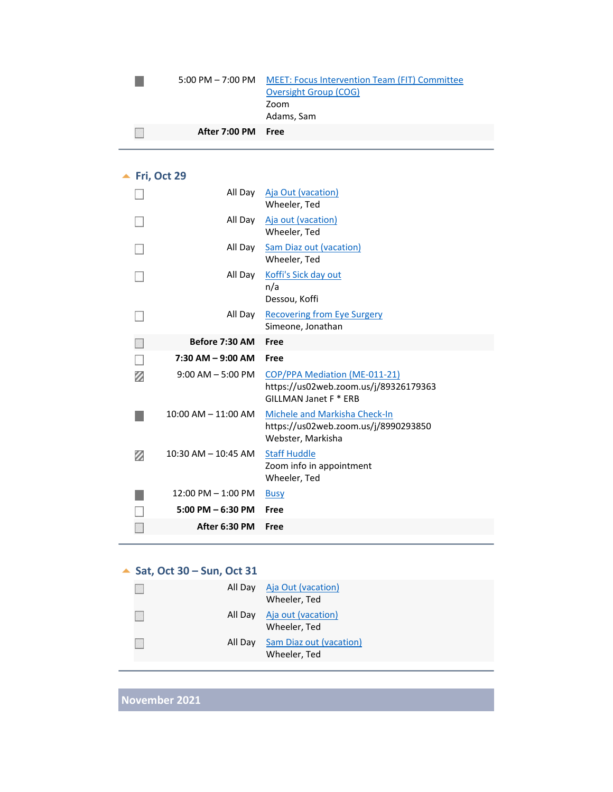#### 5:00 PM – 7:00 PM MEET: Focus Intervention Team (FIT) Committee Oversight Group (COG) Zoom Adams, Sam

| After 7:00 PM Free |  |
|--------------------|--|
|                    |  |

#### ▲ Fri, Oct 29

 $\mathcal{L}_{\mathcal{A}}$ 

<span id="page-16-0"></span>

|   | All Day                 | Aja Out (vacation)<br>Wheeler, Ted                                                              |
|---|-------------------------|-------------------------------------------------------------------------------------------------|
|   | All Day                 | Aja out (vacation)<br>Wheeler, Ted                                                              |
|   | All Day                 | <b>Sam Diaz out (vacation)</b><br>Wheeler, Ted                                                  |
|   | All Day                 | Koffi's Sick day out<br>n/a<br>Dessou, Koffi                                                    |
|   | All Day                 | <b>Recovering from Eye Surgery</b><br>Simeone, Jonathan                                         |
|   | Before 7:30 AM          | Free                                                                                            |
|   | $7:30$ AM $-9:00$ AM    | Free                                                                                            |
|   |                         |                                                                                                 |
| Ø | $9:00$ AM $-5:00$ PM    | COP/PPA Mediation (ME-011-21)<br>https://us02web.zoom.us/j/89326179363<br>GILLMAN Janet F * ERB |
|   | 10:00 AM - 11:00 AM     | Michele and Markisha Check-In<br>https://us02web.zoom.us/j/8990293850<br>Webster, Markisha      |
| Ø | $10:30$ AM $-$ 10:45 AM | <b>Staff Huddle</b><br>Zoom info in appointment<br>Wheeler, Ted                                 |
|   | $12:00$ PM $- 1:00$ PM  | <b>Busy</b>                                                                                     |
|   | $5:00$ PM $-6:30$ PM    | Free                                                                                            |
|   | After 6:30 PM           | Free                                                                                            |

#### **Sat, Oct 30 – Sun, Oct 31**

<span id="page-16-2"></span><span id="page-16-1"></span>

| All Day Aja Out (vacation) | Wheeler, Ted                            |
|----------------------------|-----------------------------------------|
| All Day                    | Aja out (vacation)<br>Wheeler, Ted      |
| All Day                    | Sam Diaz out (vacation)<br>Wheeler, Ted |

**November 2021**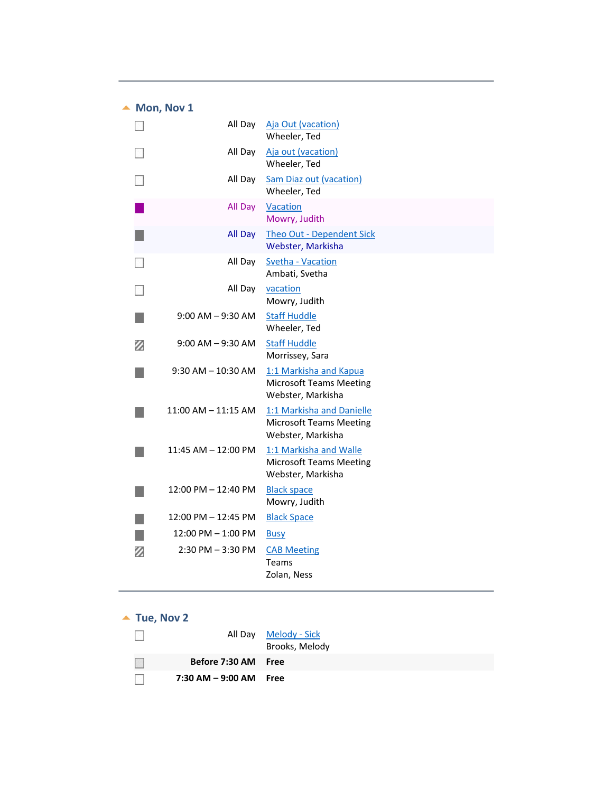#### $\blacktriangle$  Mon, Nov 1

<span id="page-17-0"></span>

|   | All Day                | Aja Out (vacation)<br>Wheeler, Ted                                               |
|---|------------------------|----------------------------------------------------------------------------------|
|   | All Day                | Aja out (vacation)<br>Wheeler, Ted                                               |
|   | All Day                | <b>Sam Diaz out (vacation)</b><br>Wheeler, Ted                                   |
|   | All Day                | Vacation<br>Mowry, Judith                                                        |
|   | All Day                | Theo Out - Dependent Sick<br>Webster, Markisha                                   |
|   | All Day                | Svetha - Vacation<br>Ambati, Svetha                                              |
|   | All Day                | vacation<br>Mowry, Judith                                                        |
|   | $9:00$ AM $-9:30$ AM   | <b>Staff Huddle</b><br>Wheeler, Ted                                              |
| Ø | $9:00$ AM $-9:30$ AM   | <b>Staff Huddle</b><br>Morrissey, Sara                                           |
|   | $9:30$ AM $- 10:30$ AM | 1:1 Markisha and Kapua<br><b>Microsoft Teams Meeting</b><br>Webster, Markisha    |
|   | $11:00$ AM $-11:15$ AM | 1:1 Markisha and Danielle<br><b>Microsoft Teams Meeting</b><br>Webster, Markisha |
|   | 11:45 AM - 12:00 PM    | 1:1 Markisha and Walle<br><b>Microsoft Teams Meeting</b><br>Webster, Markisha    |
|   | 12:00 PM - 12:40 PM    | <b>Black space</b><br>Mowry, Judith                                              |
|   | 12:00 PM – 12:45 PM    | <b>Black Space</b>                                                               |
|   | 12:00 PM - 1:00 PM     | <b>Busy</b>                                                                      |
| Ø | $2:30$ PM $-3:30$ PM   | <b>CAB Meeting</b><br><b>Teams</b><br>Zolan, Ness                                |

## $\blacktriangle$  Tue, Nov 2

<span id="page-17-1"></span>

|                           | All Day Melody - Sick<br>Brooks, Melody |
|---------------------------|-----------------------------------------|
| Before 7:30 AM Free       |                                         |
| $7:30$ AM $-9:00$ AM Free |                                         |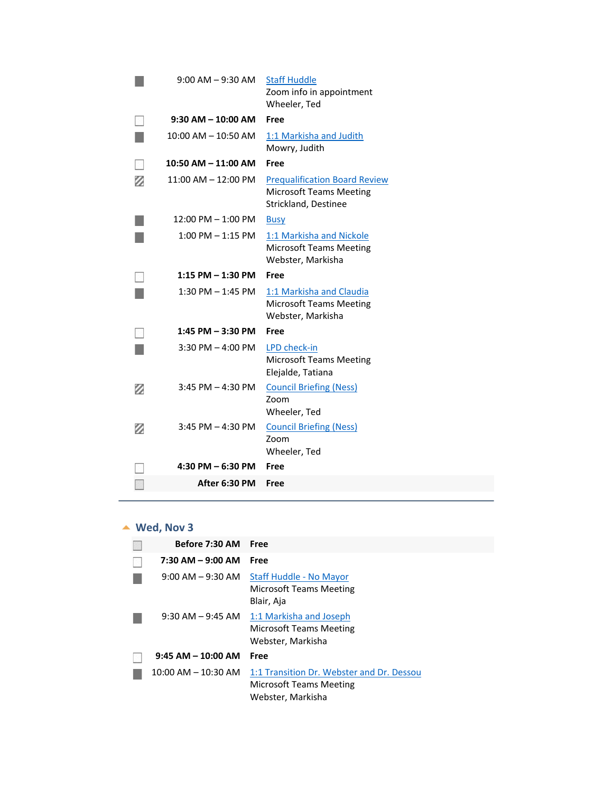|   | $9:00$ AM $-9:30$ AM    | <b>Staff Huddle</b><br>Zoom info in appointment<br>Wheeler, Ted                                |
|---|-------------------------|------------------------------------------------------------------------------------------------|
|   | $9:30$ AM $- 10:00$ AM  | Free                                                                                           |
|   | $10:00$ AM $- 10:50$ AM | 1:1 Markisha and Judith<br>Mowry, Judith                                                       |
|   | 10:50 AM - 11:00 AM     | Free                                                                                           |
| z | 11:00 AM - 12:00 PM     | <b>Prequalification Board Review</b><br><b>Microsoft Teams Meeting</b><br>Strickland, Destinee |
|   | 12:00 PM - 1:00 PM      | <b>Busy</b>                                                                                    |
|   | $1:00$ PM $-1:15$ PM    | 1:1 Markisha and Nickole<br><b>Microsoft Teams Meeting</b><br>Webster, Markisha                |
|   | 1:15 PM - 1:30 PM       | Free                                                                                           |
|   | $1:30$ PM $-1:45$ PM    | 1:1 Markisha and Claudia<br><b>Microsoft Teams Meeting</b><br>Webster, Markisha                |
|   | $1:45$ PM $-3:30$ PM    | Free                                                                                           |
|   | $3:30$ PM $-$ 4:00 PM   | LPD check-in<br><b>Microsoft Teams Meeting</b><br>Elejalde, Tatiana                            |
| z | $3:45$ PM $-4:30$ PM    | <b>Council Briefing (Ness)</b><br>Zoom<br>Wheeler, Ted                                         |
| Ø | $3:45$ PM $-4:30$ PM    | <b>Council Briefing (Ness)</b><br>Zoom<br>Wheeler, Ted                                         |
|   | 4:30 PM - 6:30 PM       | Free                                                                                           |
|   | After 6:30 PM           | Free                                                                                           |
|   |                         |                                                                                                |

#### ▲ Wed, Nov 3

<span id="page-18-0"></span>

| Before 7:30 AM Free     |                                                                                           |
|-------------------------|-------------------------------------------------------------------------------------------|
| 7:30 AM - 9:00 AM       | Free                                                                                      |
| $9:00$ AM $-9:30$ AM    | Staff Huddle - No Mayor<br>Microsoft Teams Meeting<br>Blair, Aja                          |
| $9:30$ AM $-9:45$ AM    | 1:1 Markisha and Joseph<br>Microsoft Teams Meeting<br>Webster, Markisha                   |
| $9:45$ AM $-$ 10:00 AM  | Free                                                                                      |
| $10:00$ AM $- 10:30$ AM | 1:1 Transition Dr. Webster and Dr. Dessou<br>Microsoft Teams Meeting<br>Webster, Markisha |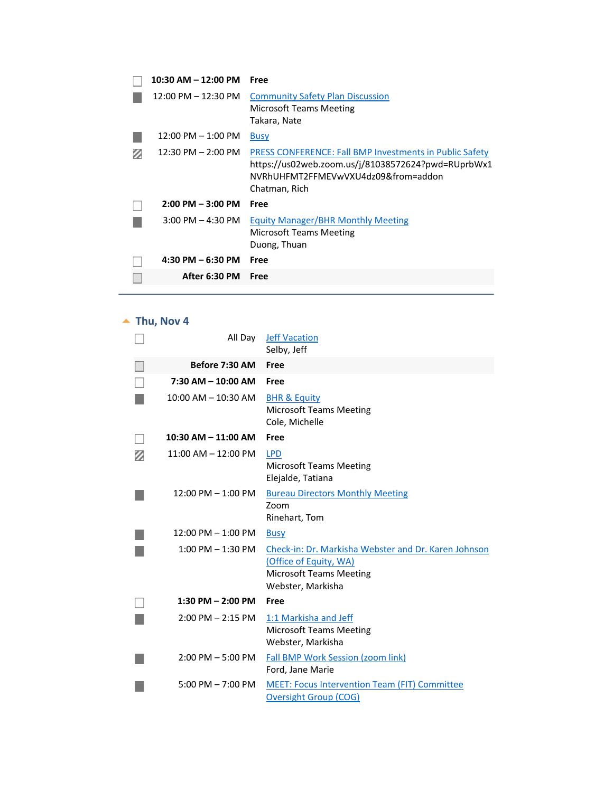| 10:30 AM - 12:00 PM    | Free                                                                                                                                                                         |
|------------------------|------------------------------------------------------------------------------------------------------------------------------------------------------------------------------|
| 12:00 PM - 12:30 PM    | <b>Community Safety Plan Discussion</b><br>Microsoft Teams Meeting<br>Takara, Nate                                                                                           |
| $12:00$ PM $- 1:00$ PM | <b>Busy</b>                                                                                                                                                                  |
| 12:30 PM - 2:00 PM     | <b>PRESS CONFERENCE: Fall BMP Investments in Public Safety</b><br>https://us02web.zoom.us/j/81038572624?pwd=RUprbWx1<br>NVRhUHFMT2FFMEVwVXU4dz09&from=addon<br>Chatman, Rich |
| $2:00$ PM $-3:00$ PM   | Free                                                                                                                                                                         |
| $3:00$ PM $-$ 4:30 PM  | <b>Equity Manager/BHR Monthly Meeting</b><br>Microsoft Teams Meeting<br>Duong, Thuan                                                                                         |
| $4:30$ PM $-6:30$ PM   | Free                                                                                                                                                                         |
| After 6:30 PM          | Free                                                                                                                                                                         |
|                        |                                                                                                                                                                              |

## $\blacktriangle$  Thu, Nov 4

<span id="page-19-0"></span>

| All Day                 | <b>Jeff Vacation</b><br>Selby, Jeff                                                                                                   |
|-------------------------|---------------------------------------------------------------------------------------------------------------------------------------|
| Before 7:30 AM          | Free                                                                                                                                  |
| 7:30 AM - 10:00 AM      | Free                                                                                                                                  |
| $10:00$ AM $-$ 10:30 AM | <b>BHR &amp; Equity</b><br><b>Microsoft Teams Meeting</b><br>Cole, Michelle                                                           |
| $10:30$ AM $- 11:00$ AM | Free                                                                                                                                  |
| $11:00$ AM $-12:00$ PM  | <b>LPD</b><br><b>Microsoft Teams Meeting</b><br>Elejalde, Tatiana                                                                     |
| $12:00$ PM $- 1:00$ PM  | <b>Bureau Directors Monthly Meeting</b><br>Zoom<br>Rinehart, Tom                                                                      |
| $12:00$ PM $- 1:00$ PM  | <b>Busy</b>                                                                                                                           |
| $1:00$ PM $-1:30$ PM    | Check-in: Dr. Markisha Webster and Dr. Karen Johnson<br>(Office of Equity, WA)<br><b>Microsoft Teams Meeting</b><br>Webster, Markisha |
| $1:30$ PM $- 2:00$ PM   | Free                                                                                                                                  |
| $2:00$ PM $- 2:15$ PM   | 1:1 Markisha and Jeff<br><b>Microsoft Teams Meeting</b><br>Webster, Markisha                                                          |
| $2:00$ PM $-5:00$ PM    | Fall BMP Work Session (zoom link)<br>Ford, Jane Marie                                                                                 |
| $5:00$ PM $- 7:00$ PM   | <b>MEET: Focus Intervention Team (FIT) Committee</b><br><b>Oversight Group (COG)</b>                                                  |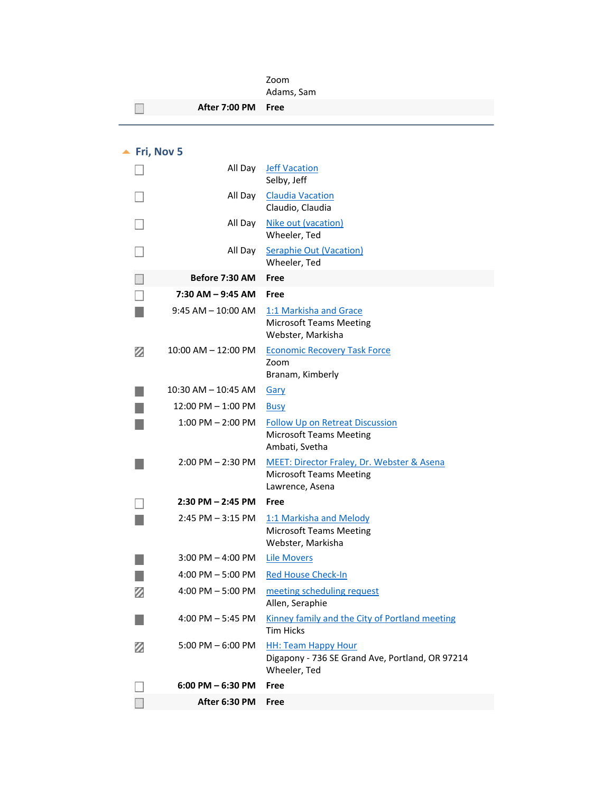<span id="page-20-0"></span>

|   |                             | Zoom<br>Adams, Sam                                                                                         |
|---|-----------------------------|------------------------------------------------------------------------------------------------------------|
|   | After 7:00 PM               | Free                                                                                                       |
|   |                             |                                                                                                            |
|   |                             |                                                                                                            |
|   | $\blacktriangle$ Fri, Nov 5 |                                                                                                            |
|   | All Day                     | <b>Jeff Vacation</b><br>Selby, Jeff                                                                        |
|   | All Day                     | <b>Claudia Vacation</b><br>Claudio, Claudia                                                                |
|   | All Day                     | Nike out (vacation)<br>Wheeler, Ted                                                                        |
|   | All Day                     | <b>Seraphie Out (Vacation)</b><br>Wheeler, Ted                                                             |
|   | Before 7:30 AM              | Free                                                                                                       |
|   | 7:30 AM - 9:45 AM           | Free                                                                                                       |
|   | $9:45$ AM $-$ 10:00 AM      | 1:1 Markisha and Grace<br><b>Microsoft Teams Meeting</b><br>Webster, Markisha                              |
| Ø | 10:00 AM - 12:00 PM         | <b>Economic Recovery Task Force</b><br>Zoom<br>Branam, Kimberly                                            |
|   | 10:30 AM – 10:45 AM         | Gary                                                                                                       |
|   | 12:00 PM – 1:00 PM          | <b>Busy</b>                                                                                                |
|   | $1:00$ PM $- 2:00$ PM       | <b>Follow Up on Retreat Discussion</b><br><b>Microsoft Teams Meeting</b><br>Ambati, Svetha                 |
|   | $2:00$ PM $- 2:30$ PM       | <b>MEET: Director Fraley, Dr. Webster &amp; Asena</b><br><b>Microsoft Teams Meeting</b><br>Lawrence, Asena |
|   | $2:30$ PM $- 2:45$ PM       | Free                                                                                                       |
|   | 2:45 PM - 3:15 PM           | 1:1 Markisha and Melody<br><b>Microsoft Teams Meeting</b><br>Webster, Markisha                             |
|   | $3:00$ PM $-$ 4:00 PM       | <b>Lile Movers</b>                                                                                         |
|   | 4:00 PM $-5:00$ PM          | <b>Red House Check-In</b>                                                                                  |
| Ø | 4:00 PM $-5:00$ PM          | meeting scheduling request<br>Allen, Seraphie                                                              |
|   | 4:00 PM $-$ 5:45 PM         | Kinney family and the City of Portland meeting<br>Tim Hicks                                                |
| Ø | $5:00$ PM $-6:00$ PM        | <b>HH: Team Happy Hour</b><br>Digapony - 736 SE Grand Ave, Portland, OR 97214<br>Wheeler, Ted              |
|   | $6:00$ PM $-6:30$ PM        | Free                                                                                                       |
|   | After 6:30 PM               | Free                                                                                                       |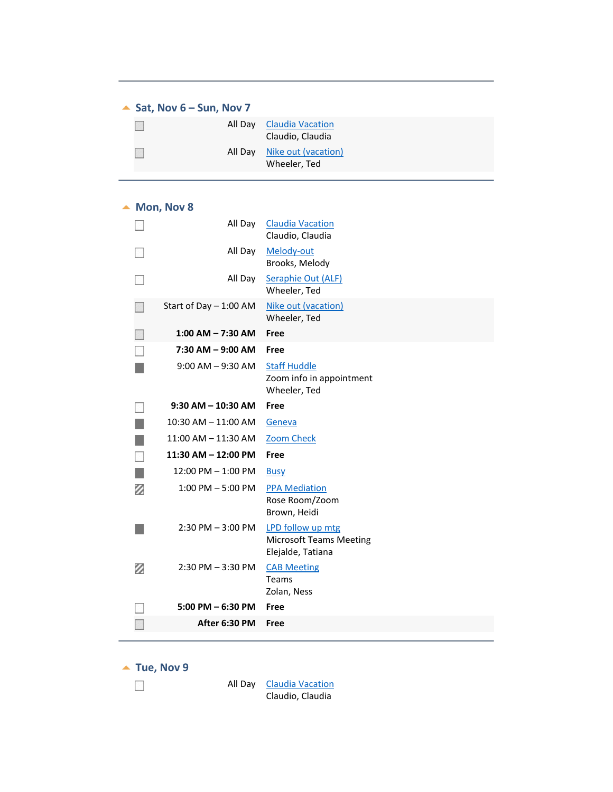#### ▲ **Sat, Nov 6 – Sun, Nov 7**

<span id="page-21-1"></span><span id="page-21-0"></span>

|  | All Day Claudia Vacation<br>Claudio, Claudia |
|--|----------------------------------------------|
|  | All Day Nike out (vacation)<br>Wheeler, Ted  |

#### $\triangle$  Mon, Nov 8

<span id="page-21-2"></span>

|               | All Day                 | <b>Claudia Vacation</b><br>Claudio, Claudia                     |
|---------------|-------------------------|-----------------------------------------------------------------|
|               | All Day                 | Melody-out<br>Brooks, Melody                                    |
|               | All Day                 | Seraphie Out (ALF)<br>Wheeler, Ted                              |
|               | Start of Day - 1:00 AM  | Nike out (vacation)<br>Wheeler, Ted                             |
|               | $1:00$ AM $- 7:30$ AM   | Free                                                            |
|               | $7:30$ AM $-9:00$ AM    | Free                                                            |
|               | $9:00$ AM $-9:30$ AM    | <b>Staff Huddle</b><br>Zoom info in appointment<br>Wheeler, Ted |
|               | $9:30$ AM $- 10:30$ AM  | Free                                                            |
|               | 10:30 AM - 11:00 AM     | Geneva                                                          |
|               | $11:00$ AM $- 11:30$ AM | <b>Zoom Check</b>                                               |
| $\mathcal{C}$ | 11:30 AM - 12:00 PM     | Free                                                            |
|               | 12:00 PM - 1:00 PM      | <b>Busy</b>                                                     |
| Ø             | $1:00$ PM $-5:00$ PM    | <b>PPA Mediation</b><br>Rose Room/Zoom<br>Brown, Heidi          |
|               | $2:30$ PM $-3:00$ PM    | LPD follow up mtg<br><b>Microsoft Teams Meeting</b>             |
|               |                         | Elejalde, Tatiana                                               |
| Ø             | $2:30$ PM $-3:30$ PM    | <b>CAB Meeting</b><br>Teams<br>Zolan, Ness                      |
|               | $5:00$ PM $-6:30$ PM    | Free                                                            |
|               | After 6:30 PM           | Free                                                            |

 $\blacktriangle$  Tue, Nov 9

 $\mathcal{L}_{\mathcal{S}}$ 

<span id="page-21-3"></span>All Day Claudia Vacation Claudio, Claudia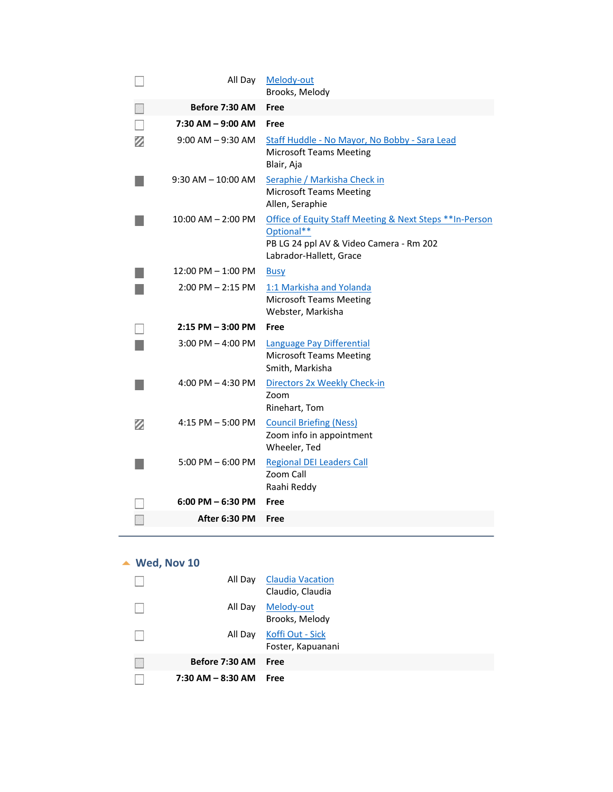|   | All Day                | Melody-out<br>Brooks, Melody                                                                                                                 |
|---|------------------------|----------------------------------------------------------------------------------------------------------------------------------------------|
|   | Before 7:30 AM         | Free                                                                                                                                         |
|   | 7:30 AM - 9:00 AM      | Free                                                                                                                                         |
| Ø | $9:00$ AM $-9:30$ AM   | Staff Huddle - No Mayor, No Bobby - Sara Lead<br><b>Microsoft Teams Meeting</b><br>Blair, Aja                                                |
|   | $9:30$ AM $-$ 10:00 AM | Seraphie / Markisha Check in<br><b>Microsoft Teams Meeting</b><br>Allen, Seraphie                                                            |
|   | $10:00$ AM $- 2:00$ PM | Office of Equity Staff Meeting & Next Steps ** In-Person<br>Optional**<br>PB LG 24 ppl AV & Video Camera - Rm 202<br>Labrador-Hallett, Grace |
|   | 12:00 PM - 1:00 PM     | <b>Busy</b>                                                                                                                                  |
|   | $2:00$ PM $- 2:15$ PM  | 1:1 Markisha and Yolanda<br><b>Microsoft Teams Meeting</b><br>Webster, Markisha                                                              |
|   | $2:15$ PM $-3:00$ PM   | Free                                                                                                                                         |
|   | $3:00$ PM $-$ 4:00 PM  | Language Pay Differential<br><b>Microsoft Teams Meeting</b><br>Smith, Markisha                                                               |
|   | 4:00 PM $-$ 4:30 PM    | Directors 2x Weekly Check-in<br>Zoom<br>Rinehart, Tom                                                                                        |
| Ø | $4:15$ PM $-5:00$ PM   | <b>Council Briefing (Ness)</b><br>Zoom info in appointment<br>Wheeler, Ted                                                                   |
|   | $5:00$ PM $-6:00$ PM   | <b>Regional DEI Leaders Call</b><br>Zoom Call<br>Raahi Reddy                                                                                 |
|   | $6:00$ PM $-6:30$ PM   | Free                                                                                                                                         |
|   | After 6:30 PM          | Free                                                                                                                                         |

## **Wed, Nov 10**

<span id="page-22-0"></span>

| All Day               | <b>Claudia Vacation</b><br>Claudio, Claudia |
|-----------------------|---------------------------------------------|
| All Day               | Melody-out<br>Brooks, Melody                |
| All Day               | Koffi Out - Sick<br>Foster, Kapuanani       |
| Before 7:30 AM        | Free                                        |
| $7:30$ AM $-$ 8:30 AM | Free                                        |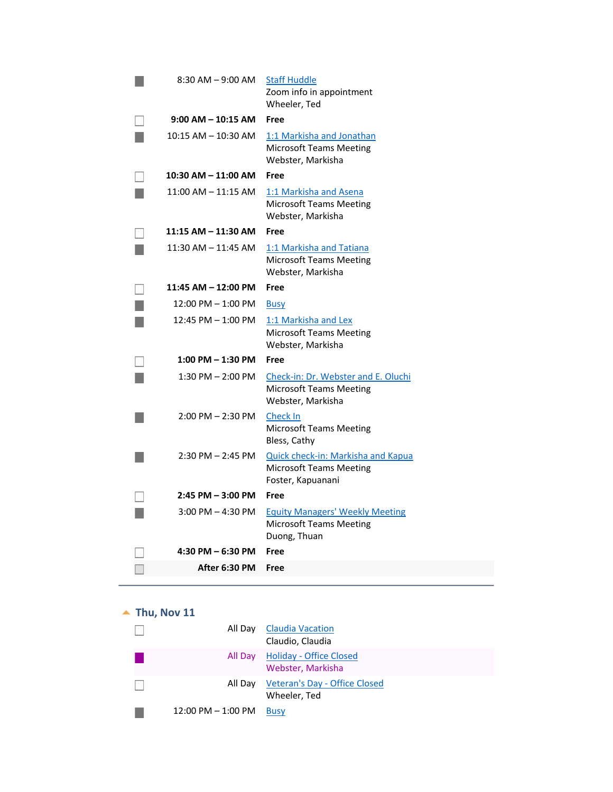| 8:30 AM - 9:00 AM      | <b>Staff Huddle</b><br>Zoom info in appointment<br>Wheeler, Ted                                  |
|------------------------|--------------------------------------------------------------------------------------------------|
| $9:00$ AM $-$ 10:15 AM | Free                                                                                             |
| 10:15 AM - 10:30 AM    | 1:1 Markisha and Jonathan<br><b>Microsoft Teams Meeting</b><br>Webster, Markisha                 |
| 10:30 AM - 11:00 AM    | Free                                                                                             |
| $11:00$ AM $-11:15$ AM | 1:1 Markisha and Asena<br><b>Microsoft Teams Meeting</b><br>Webster, Markisha                    |
| 11:15 AM - 11:30 AM    | Free                                                                                             |
| $11:30$ AM $-11:45$ AM | 1:1 Markisha and Tatiana<br><b>Microsoft Teams Meeting</b><br>Webster, Markisha                  |
| 11:45 AM - 12:00 PM    | Free                                                                                             |
| 12:00 PM - 1:00 PM     | <b>Busy</b>                                                                                      |
| 12:45 PM - 1:00 PM     | 1:1 Markisha and Lex<br><b>Microsoft Teams Meeting</b><br>Webster, Markisha                      |
| $1:00$ PM $-1:30$ PM   | <b>Free</b>                                                                                      |
| $1:30$ PM $- 2:00$ PM  | Check-in: Dr. Webster and E. Oluchi<br><b>Microsoft Teams Meeting</b><br>Webster, Markisha       |
| $2:00$ PM $- 2:30$ PM  | <b>Check In</b><br><b>Microsoft Teams Meeting</b><br>Bless, Cathy                                |
| $2:30$ PM $- 2:45$ PM  | <b>Quick check-in: Markisha and Kapua</b><br><b>Microsoft Teams Meeting</b><br>Foster, Kapuanani |
| 2:45 PM - 3:00 PM      | Free                                                                                             |
| $3:00$ PM $-$ 4:30 PM  | <b>Equity Managers' Weekly Meeting</b><br><b>Microsoft Teams Meeting</b><br>Duong, Thuan         |
| 4:30 PM - 6:30 PM      | Free                                                                                             |
| After 6:30 PM          | Free                                                                                             |

# $\blacktriangle$  Thu, Nov 11

<span id="page-23-0"></span>

|                        | All Day Claudia Vacation<br>Claudio, Claudia          |
|------------------------|-------------------------------------------------------|
|                        | All Day Holiday - Office Closed<br>Webster, Markisha  |
|                        | All Day Veteran's Day - Office Closed<br>Wheeler, Ted |
| $12:00$ PM $- 1:00$ PM | <b>Busy</b>                                           |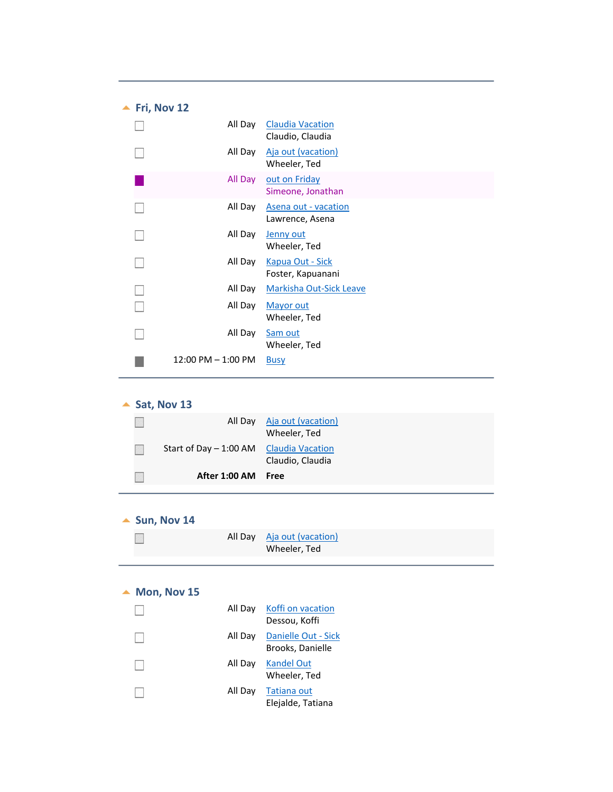<span id="page-24-0"></span>

| Fri, Nov 12 |                        |                                              |
|-------------|------------------------|----------------------------------------------|
|             | All Day                | <b>Claudia Vacation</b><br>Claudio, Claudia  |
|             | All Day                | Aja out (vacation)<br>Wheeler, Ted           |
|             | All Day                | out on Friday<br>Simeone, Jonathan           |
|             | All Day                | Asena out - vacation<br>Lawrence, Asena      |
|             | All Day                | Jenny out<br>Wheeler, Ted                    |
|             | All Day                | <b>Kapua Out - Sick</b><br>Foster, Kapuanani |
|             | All Day                | <b>Markisha Out-Sick Leave</b>               |
|             | All Day                | Mayor out<br>Wheeler, Ted                    |
|             | All Day                | Sam out<br>Wheeler, Ted                      |
|             | $12:00$ PM $- 1:00$ PM | <b>Busy</b>                                  |

| Sat, Nov 13 |  |  |
|-------------|--|--|
|-------------|--|--|

<span id="page-24-1"></span>

| All Day                                 | Aja out (vacation)<br>Wheeler, Ted |
|-----------------------------------------|------------------------------------|
| Start of Day - 1:00 AM Claudia Vacation | Claudio, Claudia                   |
| After 1:00 AM Free                      |                                    |

#### <span id="page-24-2"></span> $\triangle$  Sun, Nov 14

|  | All Day Aja out (vacation) |
|--|----------------------------|
|  | Wheeler, Ted               |

#### $\blacktriangle$  Mon, Nov 15

<span id="page-24-3"></span>

|  | All Day Koffi on vacation<br>Dessou, Koffi      |
|--|-------------------------------------------------|
|  | All Day Danielle Out - Sick<br>Brooks, Danielle |
|  | All Day Kandel Out<br>Wheeler, Ted              |
|  | All Day Tatiana out<br>Elejalde, Tatiana        |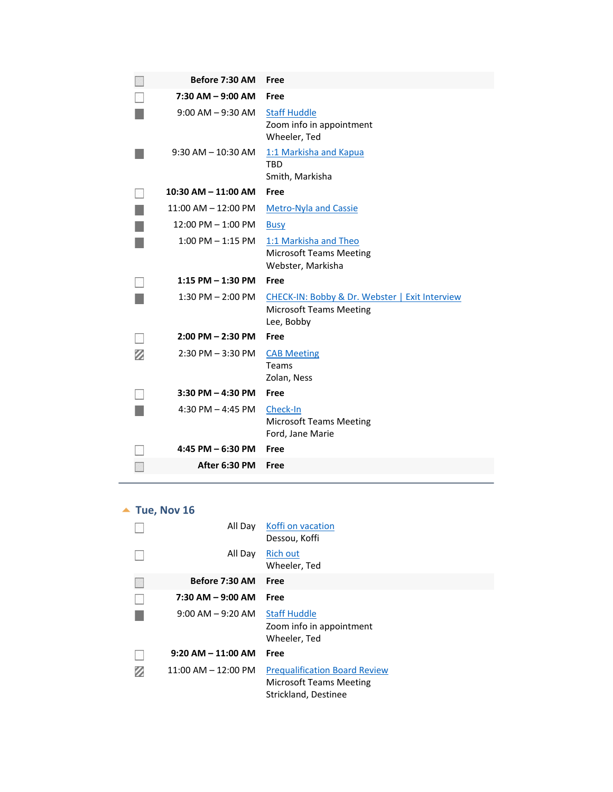|   | Before 7:30 AM          | Free                                                                                           |
|---|-------------------------|------------------------------------------------------------------------------------------------|
|   | $7:30$ AM $-$ 9:00 AM   | Free                                                                                           |
|   | $9:00$ AM $-9:30$ AM    | <b>Staff Huddle</b><br>Zoom info in appointment<br>Wheeler, Ted                                |
|   | $9:30$ AM $- 10:30$ AM  | 1:1 Markisha and Kapua<br><b>TBD</b><br>Smith, Markisha                                        |
|   | $10:30$ AM $- 11:00$ AM | Free                                                                                           |
|   | $11:00$ AM $-12:00$ PM  | <b>Metro-Nyla and Cassie</b>                                                                   |
|   | $12:00$ PM $-1:00$ PM   | <b>Busy</b>                                                                                    |
|   | $1:00$ PM $-1:15$ PM    | 1:1 Markisha and Theo<br><b>Microsoft Teams Meeting</b><br>Webster, Markisha                   |
|   | $1:15$ PM $- 1:30$ PM   | Free                                                                                           |
|   |                         |                                                                                                |
|   | $1:30$ PM $- 2:00$ PM   | CHECK-IN: Bobby & Dr. Webster   Exit Interview<br><b>Microsoft Teams Meeting</b><br>Lee, Bobby |
|   | $2:00$ PM $- 2:30$ PM   | Free                                                                                           |
| z | $2:30$ PM $-3:30$ PM    | <b>CAB Meeting</b><br>Teams<br>Zolan, Ness                                                     |
|   | $3:30$ PM $-$ 4:30 PM   | Free                                                                                           |
|   | 4:30 PM $-$ 4:45 PM     | Check-In<br><b>Microsoft Teams Meeting</b><br>Ford, Jane Marie                                 |
|   | 4:45 PM - 6:30 PM       | Free                                                                                           |

## $\blacktriangle$  Tue, Nov 16

<span id="page-25-0"></span>

| All Day                 | Koffi on vacation<br>Dessou, Koffi                                                             |
|-------------------------|------------------------------------------------------------------------------------------------|
| All Day                 | <b>Rich out</b><br>Wheeler, Ted                                                                |
| Before 7:30 AM          | Free                                                                                           |
| $7:30$ AM $-9:00$ AM    | Free                                                                                           |
| $9:00$ AM $-9:20$ AM    | <b>Staff Huddle</b><br>Zoom info in appointment<br>Wheeler, Ted                                |
| $9:20$ AM $-$ 11:00 AM  | Free                                                                                           |
| $11:00$ AM $- 12:00$ PM | <b>Prequalification Board Review</b><br><b>Microsoft Teams Meeting</b><br>Strickland, Destinee |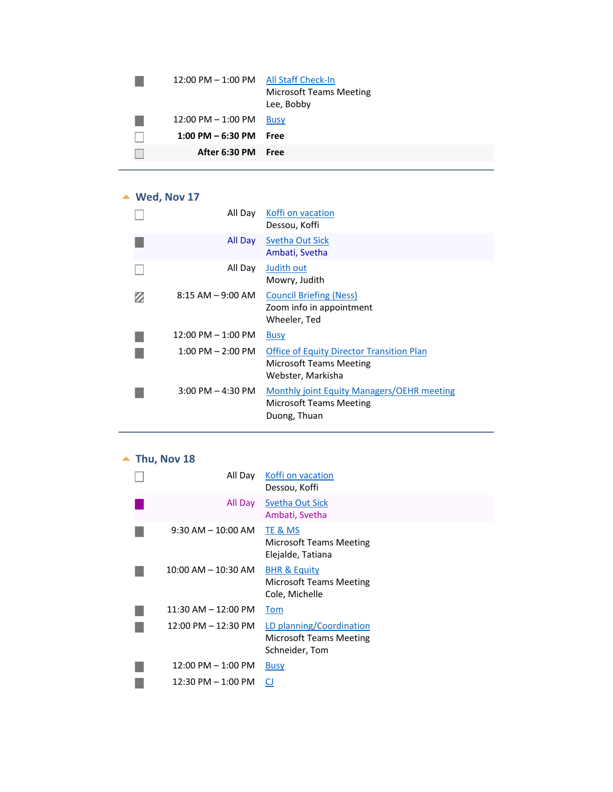| 12:00 PM - 1:00 PM All Staff Check-In | <b>Microsoft Teams Meeting</b><br>Lee, Bobby |
|---------------------------------------|----------------------------------------------|
| $12:00$ PM $- 1:00$ PM                | <b>Busy</b>                                  |
| $1:00$ PM $-6:30$ PM                  | Free                                         |
| After 6:30 PM                         | Free                                         |
|                                       |                                              |

#### **Wed, Nov 17**

<span id="page-26-0"></span>

| All Day                | Koffi on vacation<br>Dessou, Koffi                                                                      |
|------------------------|---------------------------------------------------------------------------------------------------------|
| All Day                | Svetha Out Sick<br>Ambati, Svetha                                                                       |
| All Day                | Judith out<br>Mowry, Judith                                                                             |
| $8:15 AM - 9:00 AM$    | <b>Council Briefing (Ness)</b><br>Zoom info in appointment<br>Wheeler, Ted                              |
| $12:00$ PM $- 1:00$ PM | <b>Busy</b>                                                                                             |
| $1:00$ PM $- 2:00$ PM  | <b>Office of Equity Director Transition Plan</b><br><b>Microsoft Teams Meeting</b><br>Webster, Markisha |
| $3:00$ PM $-$ 4:30 PM  | Monthly joint Equity Managers/OEHR meeting<br>Microsoft Teams Meeting<br>Duong, Thuan                   |

# $\blacktriangle$  Thu, Nov 18

<span id="page-26-1"></span>

| All Day                 | Koffi on vacation<br>Dessou, Koffi                                          |
|-------------------------|-----------------------------------------------------------------------------|
| All Day                 | <b>Svetha Out Sick</b><br>Ambati, Svetha                                    |
| $9:30$ AM $-10:00$ AM   | TE & MS<br>Microsoft Teams Meeting<br>Elejalde, Tatiana                     |
| $10:00$ AM $- 10:30$ AM | <b>BHR &amp; Equity</b><br><b>Microsoft Teams Meeting</b><br>Cole, Michelle |
| $11:30$ AM $- 12:00$ PM | Tom                                                                         |
| 12:00 PM - 12:30 PM     | LD planning/Coordination<br>Microsoft Teams Meeting<br>Schneider, Tom       |
| $12:00$ PM $- 1:00$ PM  | <b>Busy</b>                                                                 |
| 12:30 PM - 1:00 PM      | CJ                                                                          |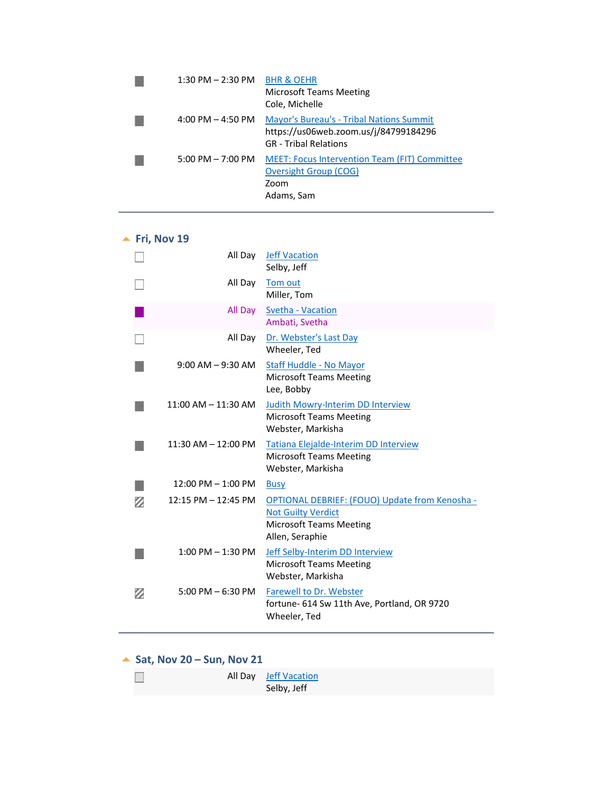| 1:30 PM $-$ 2:30 PM BHR & OEHR      | Microsoft Teams Meeting<br>Cole, Michelle                                                                                |
|-------------------------------------|--------------------------------------------------------------------------------------------------------------------------|
| $4:00$ PM $-4:50$ PM                | <b>Mayor's Bureau's - Tribal Nations Summit</b><br>https://us06web.zoom.us/j/84799184296<br><b>GR</b> - Tribal Relations |
| $5:00 \text{ PM} - 7:00 \text{ PM}$ | MEET: Focus Intervention Team (FIT) Committee<br>Oversight Group (COG)<br>Zoom<br>Adams, Sam                             |

# **<u>▲ Fri, Nov 19</u>**

<span id="page-27-0"></span>

|   | All Day                 | <b>Jeff Vacation</b><br>Selby, Jeff                                                                                              |
|---|-------------------------|----------------------------------------------------------------------------------------------------------------------------------|
|   | All Day                 | Tom out<br>Miller, Tom                                                                                                           |
|   | All Day                 | Svetha - Vacation<br>Ambati, Svetha                                                                                              |
|   | All Day                 | Dr. Webster's Last Day<br>Wheeler, Ted                                                                                           |
|   | $9:00$ AM $-9:30$ AM    | Staff Huddle - No Mayor<br><b>Microsoft Teams Meeting</b><br>Lee, Bobby                                                          |
|   | $11:00$ AM $- 11:30$ AM | <b>Judith Mowry-Interim DD Interview</b><br><b>Microsoft Teams Meeting</b><br>Webster, Markisha                                  |
|   | $11:30$ AM $- 12:00$ PM | Tatiana Elejalde-Interim DD Interview<br><b>Microsoft Teams Meeting</b><br>Webster, Markisha                                     |
|   | $12:00$ PM $- 1:00$ PM  | <b>Busy</b>                                                                                                                      |
| z | $12:15$ PM $- 12:45$ PM | OPTIONAL DEBRIEF: (FOUO) Update from Kenosha -<br><b>Not Guilty Verdict</b><br><b>Microsoft Teams Meeting</b><br>Allen, Seraphie |
|   | $1:00$ PM $-1:30$ PM    | Jeff Selby-Interim DD Interview<br><b>Microsoft Teams Meeting</b><br>Webster, Markisha                                           |
| Ø | $5:00$ PM $-6:30$ PM    | <b>Farewell to Dr. Webster</b><br>fortune- 614 Sw 11th Ave, Portland, OR 9720<br>Wheeler, Ted                                    |

#### ▲ Sat, Nov 20 – Sun, Nov 21

<span id="page-27-2"></span><span id="page-27-1"></span>

|  | All Day Jeff Vacation |
|--|-----------------------|
|  | Selby, Jeff           |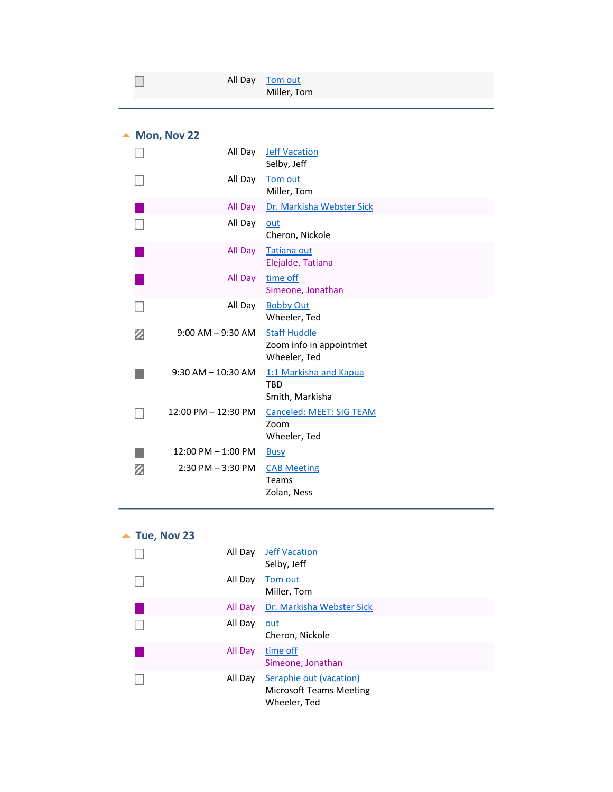| Mon, Nov 22 |  |  |
|-------------|--|--|
|-------------|--|--|

<span id="page-28-0"></span>

|   | All Day                | <b>Jeff Vacation</b><br>Selby, Jeff                     |
|---|------------------------|---------------------------------------------------------|
|   | All Day                | Tom out<br>Miller, Tom                                  |
|   | All Day                | Dr. Markisha Webster Sick                               |
|   | All Day                | out<br>Cheron, Nickole                                  |
|   | All Day                | <b>Tatiana out</b><br>Elejalde, Tatiana                 |
|   | All Day                | time off<br>Simeone, Jonathan                           |
|   | All Day                | <b>Bobby Out</b><br>Wheeler, Ted                        |
| z | $9:00$ AM $-9:30$ AM   | <b>Staff Huddle</b>                                     |
|   |                        | Zoom info in appointmet<br>Wheeler, Ted                 |
|   | $9:30$ AM $- 10:30$ AM | 1:1 Markisha and Kapua<br>TBD<br>Smith, Markisha        |
|   | 12:00 PM - 12:30 PM    | <b>Canceled: MEET: SIG TEAM</b><br>Zoom<br>Wheeler, Ted |
|   | 12:00 PM - 1:00 PM     | <b>Busy</b>                                             |

<span id="page-28-1"></span>

| Tue, Nov 23 |         |                                                                           |
|-------------|---------|---------------------------------------------------------------------------|
|             | All Day | <b>Jeff Vacation</b><br>Selby, Jeff                                       |
|             | All Day | Tom out<br>Miller, Tom                                                    |
|             | All Day | Dr. Markisha Webster Sick                                                 |
|             | All Day | <u>out</u><br>Cheron, Nickole                                             |
|             | All Day | time off<br>Simeone, Jonathan                                             |
|             | All Day | Seraphie out (vacation)<br><b>Microsoft Teams Meeting</b><br>Wheeler, Ted |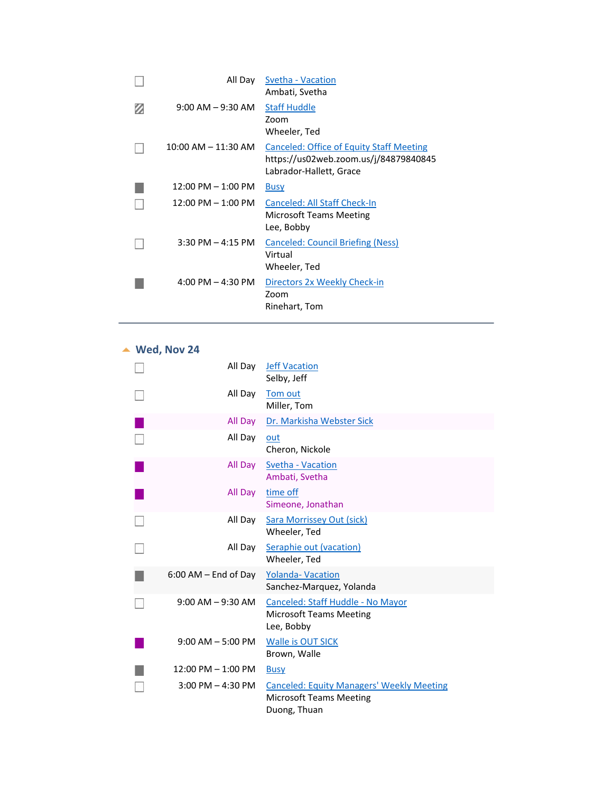| All Day                             | Svetha - Vacation<br>Ambati, Svetha                                                                          |
|-------------------------------------|--------------------------------------------------------------------------------------------------------------|
| $9:00$ AM $-9:30$ AM                | <b>Staff Huddle</b><br>Zoom<br>Wheeler, Ted                                                                  |
| 10:00 AM – 11:30 AM                 | Canceled: Office of Equity Staff Meeting<br>https://us02web.zoom.us/j/84879840845<br>Labrador-Hallett, Grace |
| $12:00$ PM $- 1:00$ PM              | <b>Busy</b>                                                                                                  |
| $12:00$ PM $- 1:00$ PM              | Canceled: All Staff Check-In<br><b>Microsoft Teams Meeting</b><br>Lee, Bobby                                 |
| $3:30$ PM $-4:15$ PM                | Canceled: Council Briefing (Ness)<br>Virtual<br>Wheeler, Ted                                                 |
| $4:00 \text{ PM} - 4:30 \text{ PM}$ | Directors 2x Weekly Check-in<br>Zoom<br>Rinehart, Tom                                                        |

**Wed, Nov 24**

<span id="page-29-0"></span>

| All Day                  | <b>Jeff Vacation</b><br>Selby, Jeff                                                                |
|--------------------------|----------------------------------------------------------------------------------------------------|
| All Day                  | Tom out<br>Miller, Tom                                                                             |
| All Day                  | Dr. Markisha Webster Sick                                                                          |
| All Day                  | out<br>Cheron, Nickole                                                                             |
| All Day                  | Svetha - Vacation<br>Ambati, Svetha                                                                |
| All Day                  | time off<br>Simeone, Jonathan                                                                      |
| All Day                  | <b>Sara Morrissey Out (sick)</b><br>Wheeler, Ted                                                   |
| All Day                  | Seraphie out (vacation)<br>Wheeler, Ted                                                            |
| $6:00$ AM $-$ End of Day | <b>Yolanda- Vacation</b><br>Sanchez-Marquez, Yolanda                                               |
| $9:00$ AM $-9:30$ AM     | Canceled: Staff Huddle - No Mayor<br><b>Microsoft Teams Meeting</b><br>Lee, Bobby                  |
| $9:00$ AM $-5:00$ PM     | <b>Walle is OUT SICK</b><br>Brown, Walle                                                           |
| $12:00$ PM $-1:00$ PM    | <b>Busy</b>                                                                                        |
| $3:00$ PM $-$ 4:30 PM    | <b>Canceled: Equity Managers' Weekly Meeting</b><br><b>Microsoft Teams Meeting</b><br>Duong, Thuan |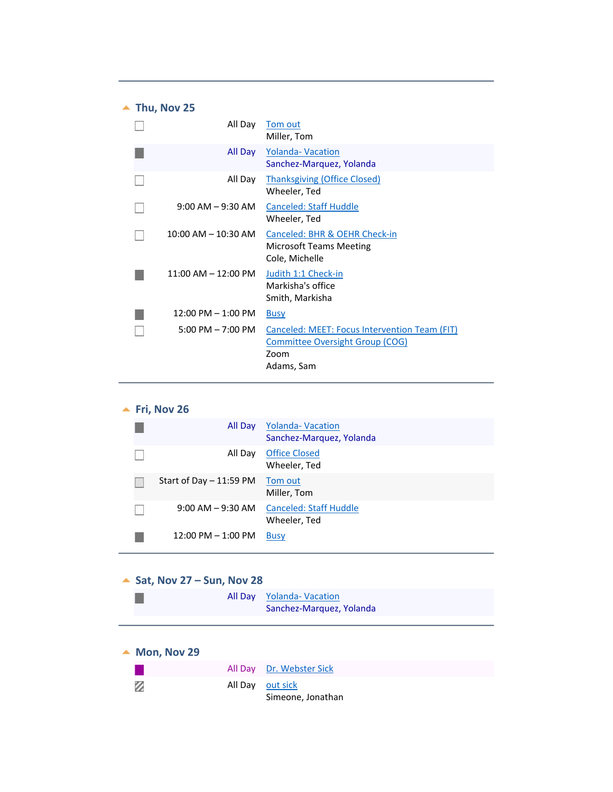<span id="page-30-0"></span>

| $\blacktriangle$ Thu, Nov 25 |                                      |                                                                                                               |
|------------------------------|--------------------------------------|---------------------------------------------------------------------------------------------------------------|
|                              | All Day                              | Tom out<br>Miller, Tom                                                                                        |
|                              | All Day                              | <b>Yolanda- Vacation</b><br>Sanchez-Marquez, Yolanda                                                          |
|                              | All Day                              | <b>Thanksgiving (Office Closed)</b><br>Wheeler, Ted                                                           |
|                              | $9:00$ AM $-9:30$ AM                 | <b>Canceled: Staff Huddle</b><br>Wheeler, Ted                                                                 |
|                              | $10:00$ AM $- 10:30$ AM              | Canceled: BHR & OEHR Check-in<br><b>Microsoft Teams Meeting</b><br>Cole, Michelle                             |
|                              | $11:00$ AM $- 12:00$ PM              | Judith 1:1 Check-in<br>Markisha's office<br>Smith, Markisha                                                   |
|                              | $12:00 \text{ PM} - 1:00 \text{ PM}$ | <b>Busy</b>                                                                                                   |
|                              | $5:00 \text{ PM} - 7:00 \text{ PM}$  | Canceled: MEET: Focus Intervention Team (FIT)<br><b>Committee Oversight Group (COG)</b><br>Zoom<br>Adams, Sam |

<span id="page-30-1"></span>

|  | Fri, Nov 26              |                                                      |  |
|--|--------------------------|------------------------------------------------------|--|
|  | All Day                  | <b>Yolanda- Vacation</b><br>Sanchez-Marquez, Yolanda |  |
|  | All Day                  | <b>Office Closed</b><br>Wheeler, Ted                 |  |
|  | Start of Day $-11:59$ PM | Tom out<br>Miller, Tom                               |  |
|  | $9:00$ AM $-9:30$ AM     | <b>Canceled: Staff Huddle</b><br>Wheeler, Ted        |  |
|  | $12:00$ PM $- 1:00$ PM   | <b>Busy</b>                                          |  |

<span id="page-30-3"></span><span id="page-30-2"></span>

|                                                      | $\triangle$ Sat, Nov 27 – Sun, Nov 28 |  |  |
|------------------------------------------------------|---------------------------------------|--|--|
| All Day Yolanda-Vacation<br>Sanchez-Marquez, Yolanda |                                       |  |  |

<span id="page-30-4"></span>

| $\blacktriangle$ Mon, Nov 29 |                  |                          |
|------------------------------|------------------|--------------------------|
|                              |                  | All Day Dr. Webster Sick |
| Ø                            | All Day out sick | Simeone, Jonathan        |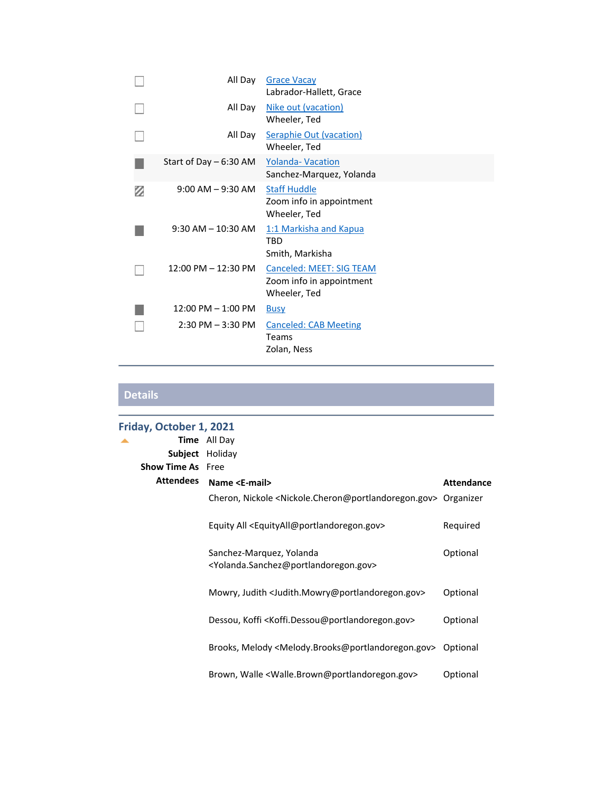|   | All Day                 | <b>Grace Vacay</b><br>Labrador-Hallett, Grace                        |
|---|-------------------------|----------------------------------------------------------------------|
|   | All Day                 | Nike out (vacation)<br>Wheeler, Ted                                  |
|   | All Day                 | <b>Seraphie Out (vacation)</b><br>Wheeler, Ted                       |
|   | Start of Day $-6:30$ AM | <b>Yolanda- Vacation</b><br>Sanchez-Marquez, Yolanda                 |
| Ø | $9:00$ AM $-9:30$ AM    | <b>Staff Huddle</b><br>Zoom info in appointment<br>Wheeler, Ted      |
|   | $9:30$ AM $- 10:30$ AM  | 1:1 Markisha and Kapua<br><b>TBD</b><br>Smith, Markisha              |
|   | 12:00 PM - 12:30 PM     | Canceled: MEET: SIG TEAM<br>Zoom info in appointment<br>Wheeler, Ted |
|   | $12:00$ PM $- 1:00$ PM  | <b>Busy</b>                                                          |
|   | $2:30$ PM $-3:30$ PM    | <b>Canceled: CAB Meeting</b><br><b>Teams</b><br>Zolan, Ness          |

**Details** 

<span id="page-31-0"></span>

| Friday, October 1, 2021  |                                                                                                       |                   |
|--------------------------|-------------------------------------------------------------------------------------------------------|-------------------|
|                          | <b>Time</b> All Day                                                                                   |                   |
| Subject                  | Holiday                                                                                               |                   |
| <b>Show Time As</b> Free |                                                                                                       |                   |
| <b>Attendees</b>         | Name <e-mail></e-mail>                                                                                | <b>Attendance</b> |
|                          | Cheron, Nickole <nickole.cheron@portlandoregon.gov> Organizer</nickole.cheron@portlandoregon.gov>     |                   |
|                          | Equity All <equityall@portlandoregon.gov></equityall@portlandoregon.gov>                              | Required          |
|                          | Sanchez-Marquez, Yolanda<br><yolanda.sanchez@portlandoregon.gov></yolanda.sanchez@portlandoregon.gov> | Optional          |
|                          | Mowry, Judith <judith.mowry@portlandoregon.gov></judith.mowry@portlandoregon.gov>                     | Optional          |
|                          | Dessou, Koffi <koffi.dessou@portlandoregon.gov></koffi.dessou@portlandoregon.gov>                     | Optional          |
|                          | Brooks, Melody <melody.brooks@portlandoregon.gov></melody.brooks@portlandoregon.gov>                  | Optional          |
|                          | Brown, Walle <walle.brown@portlandoregon.gov></walle.brown@portlandoregon.gov>                        | Optional          |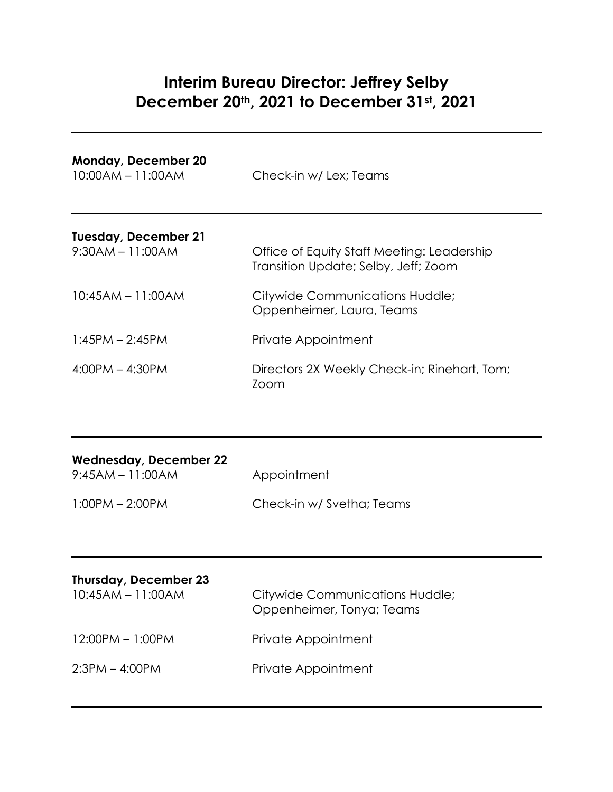# **Interim Bureau Director: Jeffrey Selby December 20th, 2021 to December 31st, 2021**

| <b>Monday, December 20</b><br>$10:00AM - 11:00AM$ | Check-in w/ Lex; Teams                                                             |
|---------------------------------------------------|------------------------------------------------------------------------------------|
| <b>Tuesday, December 21</b><br>$9:30AM - 11:00AM$ | Office of Equity Staff Meeting: Leadership<br>Transition Update; Selby, Jeff; Zoom |
| $10:45AM - 11:00AM$                               | Citywide Communications Huddle;<br>Oppenheimer, Laura, Teams                       |
| $1:45PM - 2:45PM$                                 | Private Appointment                                                                |
| $4:00PM - 4:30PM$                                 | Directors 2X Weekly Check-in; Rinehart, Tom;<br>Zoom                               |

| <b>Wednesday, December 22</b><br>$9:45AM - 11:00AM$ | Appointment               |
|-----------------------------------------------------|---------------------------|
| $1:00PM - 2:00PM$                                   | Check-in w/ Svetha; Teams |

| Thursday, December 23<br>$10:45AM - 11:00AM$ | Citywide Communications Huddle;<br>Oppenheimer, Tonya; Teams |
|----------------------------------------------|--------------------------------------------------------------|
| $12:00PM - 1:00PM$                           | Private Appointment                                          |
| $2:3PM - 4:00PM$                             | Private Appointment                                          |